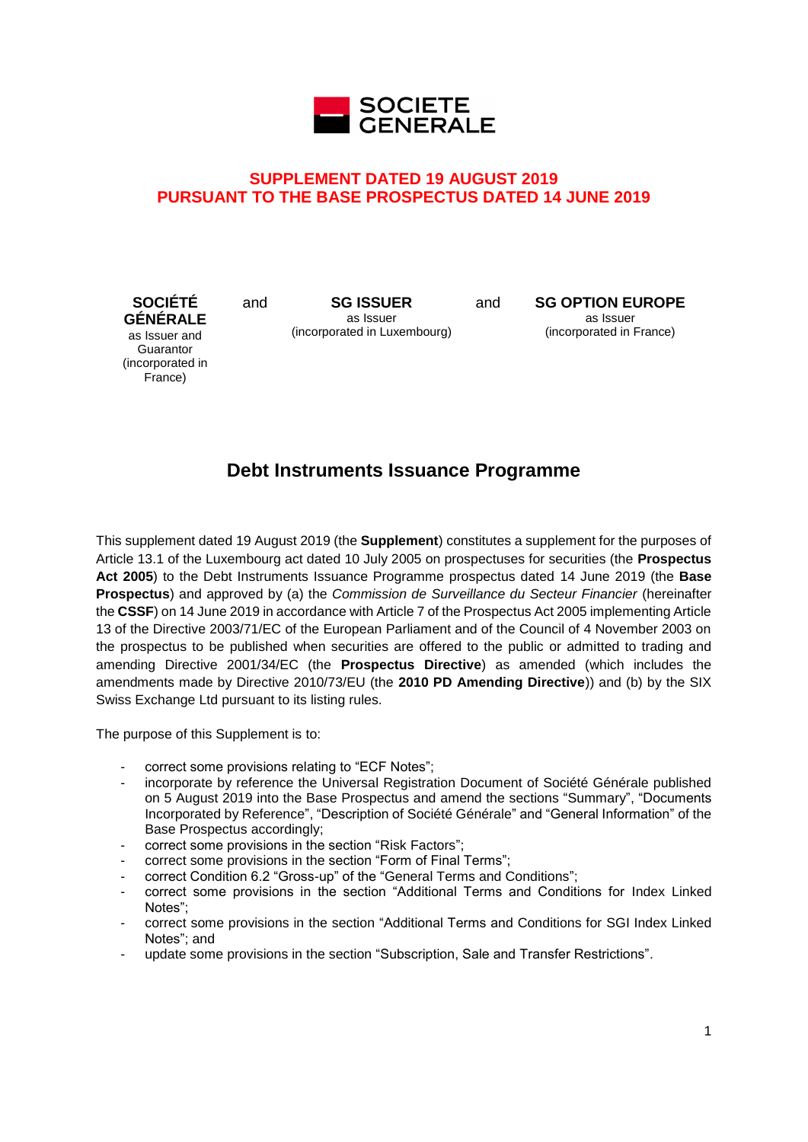

# **SUPPLEMENT DATED 19 AUGUST 2019 PURSUANT TO THE BASE PROSPECTUS DATED 14 JUNE 2019**

**SOCIÉTÉ GÉNÉRALE** as Issuer and **Guarantor** (incorporated in France)

and **SG ISSUER** as Issuer (incorporated in Luxembourg) and **SG OPTION EUROPE** as Issuer (incorporated in France)

# **Debt Instruments Issuance Programme**

This supplement dated 19 August 2019 (the **Supplement**) constitutes a supplement for the purposes of Article 13.1 of the Luxembourg act dated 10 July 2005 on prospectuses for securities (the **Prospectus Act 2005**) to the Debt Instruments Issuance Programme prospectus dated 14 June 2019 (the **Base Prospectus**) and approved by (a) the *Commission de Surveillance du Secteur Financier* (hereinafter the **CSSF**) on 14 June 2019 in accordance with Article 7 of the Prospectus Act 2005 implementing Article 13 of the Directive 2003/71/EC of the European Parliament and of the Council of 4 November 2003 on the prospectus to be published when securities are offered to the public or admitted to trading and amending Directive 2001/34/EC (the **Prospectus Directive**) as amended (which includes the amendments made by Directive 2010/73/EU (the **2010 PD Amending Directive**)) and (b) by the SIX Swiss Exchange Ltd pursuant to its listing rules.

The purpose of this Supplement is to:

- correct some provisions relating to "ECF Notes";
- incorporate by reference the Universal Registration Document of Société Générale published on 5 August 2019 into the Base Prospectus and amend the sections "Summary", "Documents Incorporated by Reference", "Description of Société Générale" and "General Information" of the Base Prospectus accordingly;
- correct some provisions in the section "Risk Factors":
- correct some provisions in the section "Form of Final Terms";
- correct Condition 6.2 "Gross-up" of the "General Terms and Conditions";
- correct some provisions in the section "Additional Terms and Conditions for Index Linked Notes";
- correct some provisions in the section "Additional Terms and Conditions for SGI Index Linked Notes"; and
- update some provisions in the section "Subscription, Sale and Transfer Restrictions".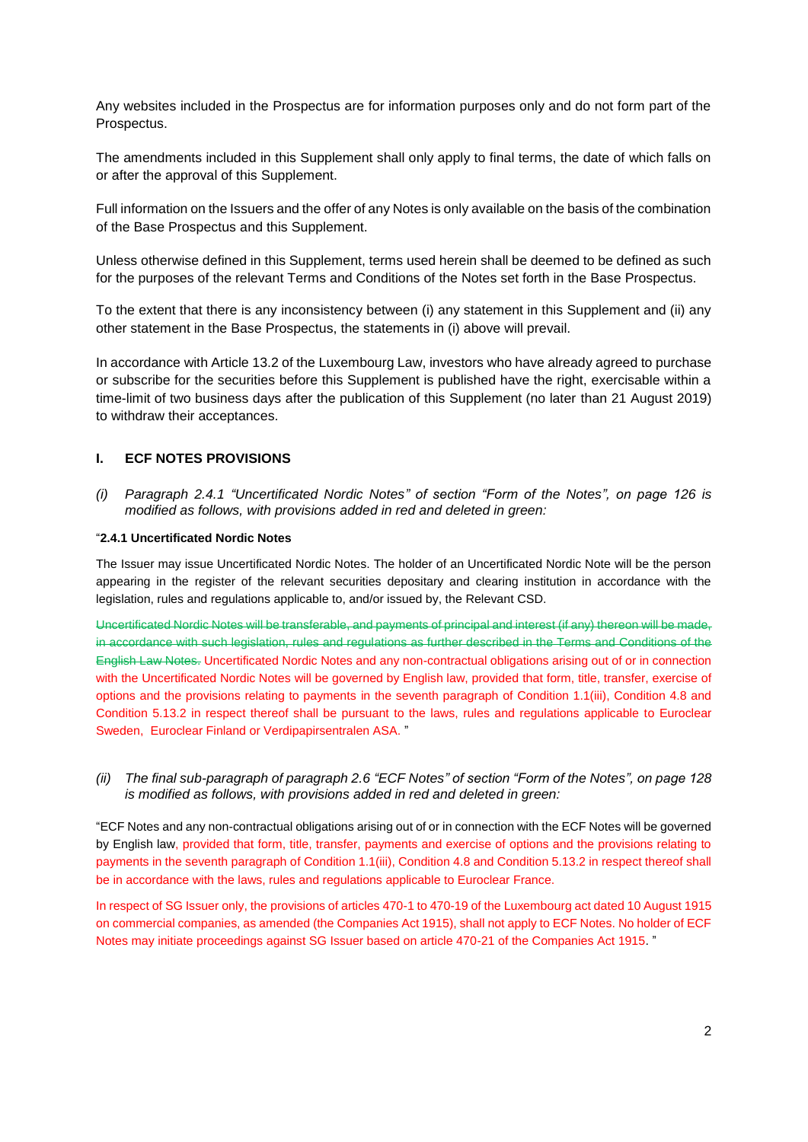Any websites included in the Prospectus are for information purposes only and do not form part of the Prospectus.

The amendments included in this Supplement shall only apply to final terms, the date of which falls on or after the approval of this Supplement.

Full information on the Issuers and the offer of any Notes is only available on the basis of the combination of the Base Prospectus and this Supplement.

Unless otherwise defined in this Supplement, terms used herein shall be deemed to be defined as such for the purposes of the relevant Terms and Conditions of the Notes set forth in the Base Prospectus.

To the extent that there is any inconsistency between (i) any statement in this Supplement and (ii) any other statement in the Base Prospectus, the statements in (i) above will prevail.

In accordance with Article 13.2 of the Luxembourg Law, investors who have already agreed to purchase or subscribe for the securities before this Supplement is published have the right, exercisable within a time-limit of two business days after the publication of this Supplement (no later than 21 August 2019) to withdraw their acceptances.

# **I. ECF NOTES PROVISIONS**

*(i) Paragraph 2.4.1 "Uncertificated Nordic Notes" of section "Form of the Notes", on page 126 is modified as follows, with provisions added in red and deleted in green:*

#### "**2.4.1 Uncertificated Nordic Notes**

The Issuer may issue Uncertificated Nordic Notes. The holder of an Uncertificated Nordic Note will be the person appearing in the register of the relevant securities depositary and clearing institution in accordance with the legislation, rules and regulations applicable to, and/or issued by, the Relevant CSD.

Uncertificated Nordic Notes will be transferable, and payments of principal and interest (if any) thereon will be made, in accordance with such legislation, rules and regulations as further described in the Terms and Conditions of the English Law Notes. Uncertificated Nordic Notes and any non-contractual obligations arising out of or in connection with the Uncertificated Nordic Notes will be governed by English law, provided that form, title, transfer, exercise of options and the provisions relating to payments in the seventh paragraph of Condition 1.1(iii), Condition 4.8 and Condition 5.13.2 in respect thereof shall be pursuant to the laws, rules and regulations applicable to Euroclear Sweden, Euroclear Finland or Verdipapirsentralen ASA. "

*(ii) The final sub-paragraph of paragraph 2.6 "ECF Notes" of section "Form of the Notes", on page 128 is modified as follows, with provisions added in red and deleted in green:*

"ECF Notes and any non-contractual obligations arising out of or in connection with the ECF Notes will be governed by English law, provided that form, title, transfer, payments and exercise of options and the provisions relating to payments in the seventh paragraph of Condition 1.1(iii), Condition 4.8 and Condition 5.13.2 in respect thereof shall be in accordance with the laws, rules and regulations applicable to Euroclear France.

In respect of SG Issuer only, the provisions of articles 470-1 to 470-19 of the Luxembourg act dated 10 August 1915 on commercial companies, as amended (the Companies Act 1915), shall not apply to ECF Notes. No holder of ECF Notes may initiate proceedings against SG Issuer based on article 470-21 of the Companies Act 1915. "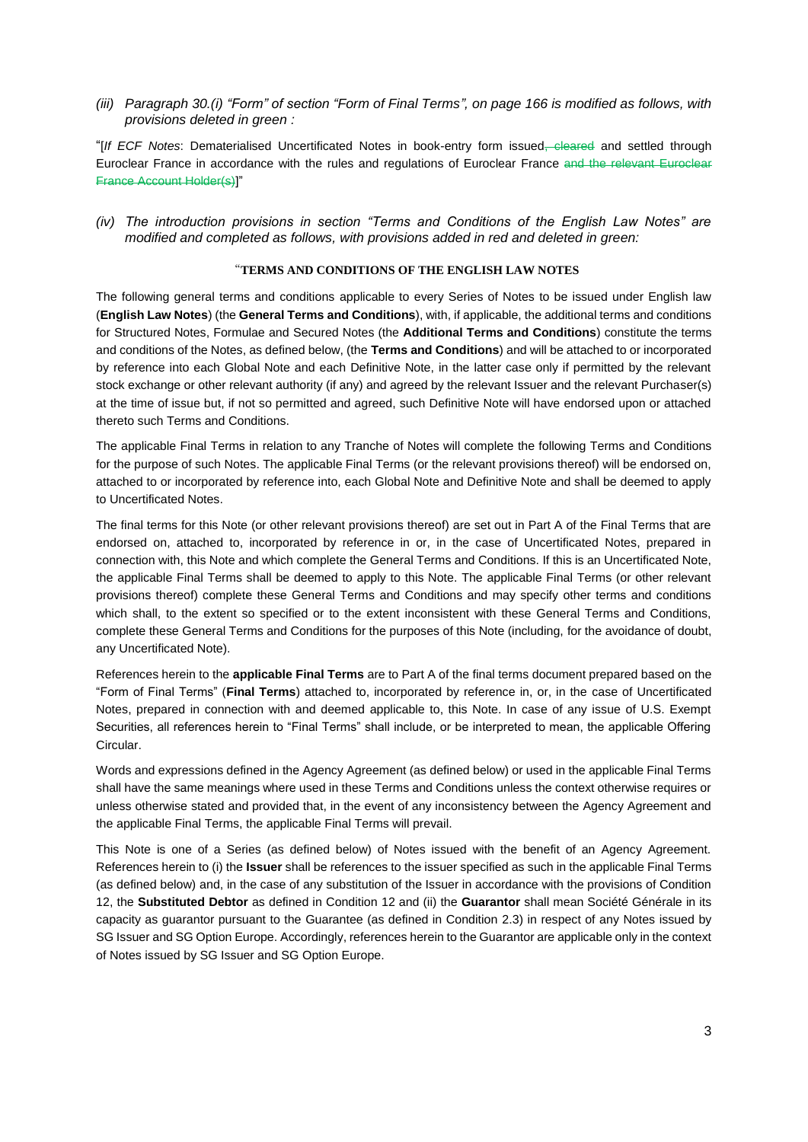*(iii) Paragraph 30.(i) "Form" of section "Form of Final Terms", on page 166 is modified as follows, with provisions deleted in green :*

"[*If ECF Notes*: Dematerialised Uncertificated Notes in book-entry form issued, cleared and settled through Euroclear France in accordance with the rules and regulations of Euroclear France and the relevant Euroclear France Account Holder(s)]"

*(iv) The introduction provisions in section "Terms and Conditions of the English Law Notes" are modified and completed as follows, with provisions added in red and deleted in green:*

#### "**TERMS AND CONDITIONS OF THE ENGLISH LAW NOTES**

The following general terms and conditions applicable to every Series of Notes to be issued under English law (**English Law Notes**) (the **General Terms and Conditions**), with, if applicable, the additional terms and conditions for Structured Notes, Formulae and Secured Notes (the **Additional Terms and Conditions**) constitute the terms and conditions of the Notes, as defined below, (the **Terms and Conditions**) and will be attached to or incorporated by reference into each Global Note and each Definitive Note, in the latter case only if permitted by the relevant stock exchange or other relevant authority (if any) and agreed by the relevant Issuer and the relevant Purchaser(s) at the time of issue but, if not so permitted and agreed, such Definitive Note will have endorsed upon or attached thereto such Terms and Conditions.

The applicable Final Terms in relation to any Tranche of Notes will complete the following Terms and Conditions for the purpose of such Notes. The applicable Final Terms (or the relevant provisions thereof) will be endorsed on, attached to or incorporated by reference into, each Global Note and Definitive Note and shall be deemed to apply to Uncertificated Notes.

The final terms for this Note (or other relevant provisions thereof) are set out in Part A of the Final Terms that are endorsed on, attached to, incorporated by reference in or, in the case of Uncertificated Notes, prepared in connection with, this Note and which complete the General Terms and Conditions. If this is an Uncertificated Note, the applicable Final Terms shall be deemed to apply to this Note. The applicable Final Terms (or other relevant provisions thereof) complete these General Terms and Conditions and may specify other terms and conditions which shall, to the extent so specified or to the extent inconsistent with these General Terms and Conditions, complete these General Terms and Conditions for the purposes of this Note (including, for the avoidance of doubt, any Uncertificated Note).

References herein to the **applicable Final Terms** are to Part A of the final terms document prepared based on the "Form of Final Terms" (**Final Terms**) attached to, incorporated by reference in, or, in the case of Uncertificated Notes, prepared in connection with and deemed applicable to, this Note. In case of any issue of U.S. Exempt Securities, all references herein to "Final Terms" shall include, or be interpreted to mean, the applicable Offering Circular.

Words and expressions defined in the Agency Agreement (as defined below) or used in the applicable Final Terms shall have the same meanings where used in these Terms and Conditions unless the context otherwise requires or unless otherwise stated and provided that, in the event of any inconsistency between the Agency Agreement and the applicable Final Terms, the applicable Final Terms will prevail.

This Note is one of a Series (as defined below) of Notes issued with the benefit of an Agency Agreement. References herein to (i) the **Issuer** shall be references to the issuer specified as such in the applicable Final Terms (as defined below) and, in the case of any substitution of the Issuer in accordance with the provisions of Condition 12, the **Substituted Debtor** as defined in Condition 12 and (ii) the **Guarantor** shall mean Société Générale in its capacity as guarantor pursuant to the Guarantee (as defined in Condition 2.3) in respect of any Notes issued by SG Issuer and SG Option Europe. Accordingly, references herein to the Guarantor are applicable only in the context of Notes issued by SG Issuer and SG Option Europe.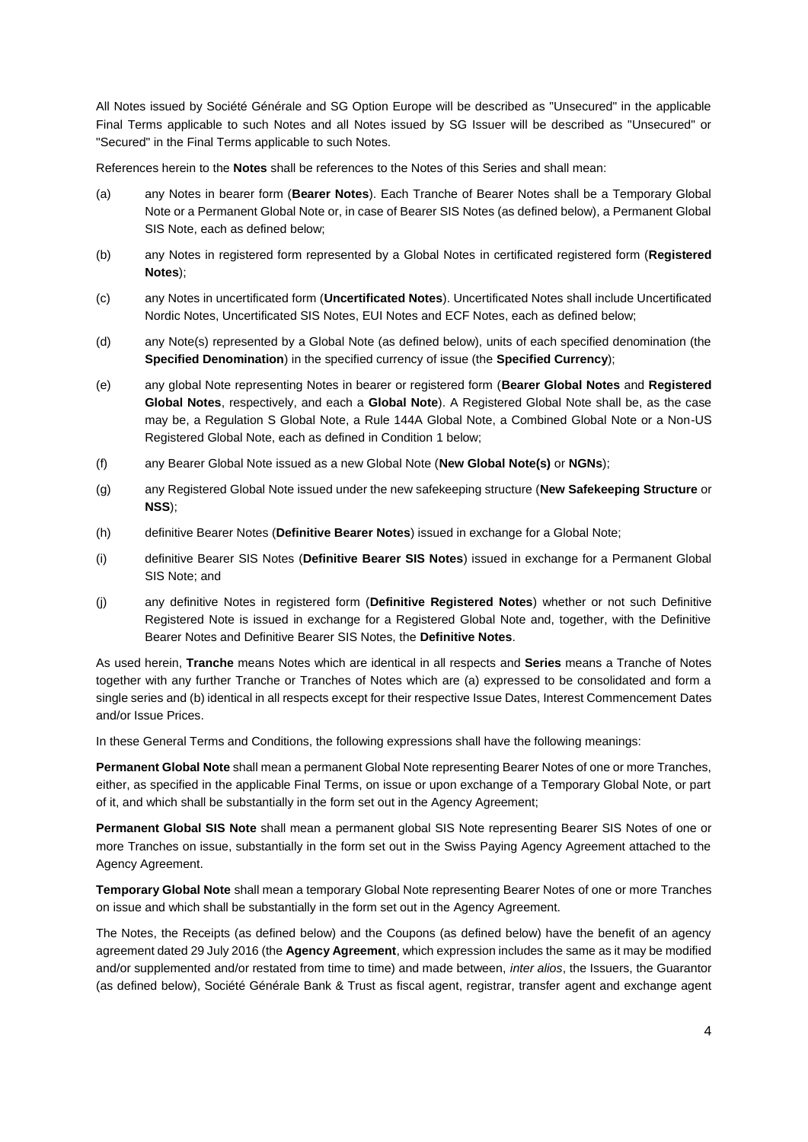All Notes issued by Société Générale and SG Option Europe will be described as "Unsecured" in the applicable Final Terms applicable to such Notes and all Notes issued by SG Issuer will be described as "Unsecured" or "Secured" in the Final Terms applicable to such Notes.

References herein to the **Notes** shall be references to the Notes of this Series and shall mean:

- (a) any Notes in bearer form (**Bearer Notes**). Each Tranche of Bearer Notes shall be a Temporary Global Note or a Permanent Global Note or, in case of Bearer SIS Notes (as defined below), a Permanent Global SIS Note, each as defined below;
- (b) any Notes in registered form represented by a Global Notes in certificated registered form (**Registered Notes**);
- (c) any Notes in uncertificated form (**Uncertificated Notes**). Uncertificated Notes shall include Uncertificated Nordic Notes, Uncertificated SIS Notes, EUI Notes and ECF Notes, each as defined below;
- (d) any Note(s) represented by a Global Note (as defined below), units of each specified denomination (the **Specified Denomination**) in the specified currency of issue (the **Specified Currency**);
- (e) any global Note representing Notes in bearer or registered form (**Bearer Global Notes** and **Registered Global Notes**, respectively, and each a **Global Note**). A Registered Global Note shall be, as the case may be, a Regulation S Global Note, a Rule 144A Global Note, a Combined Global Note or a Non-US Registered Global Note, each as defined in Condition 1 below;
- (f) any Bearer Global Note issued as a new Global Note (**New Global Note(s)** or **NGNs**);
- (g) any Registered Global Note issued under the new safekeeping structure (**New Safekeeping Structure** or **NSS**);
- (h) definitive Bearer Notes (**Definitive Bearer Notes**) issued in exchange for a Global Note;
- (i) definitive Bearer SIS Notes (**Definitive Bearer SIS Notes**) issued in exchange for a Permanent Global SIS Note; and
- (j) any definitive Notes in registered form (**Definitive Registered Notes**) whether or not such Definitive Registered Note is issued in exchange for a Registered Global Note and, together, with the Definitive Bearer Notes and Definitive Bearer SIS Notes, the **Definitive Notes**.

As used herein, **Tranche** means Notes which are identical in all respects and **Series** means a Tranche of Notes together with any further Tranche or Tranches of Notes which are (a) expressed to be consolidated and form a single series and (b) identical in all respects except for their respective Issue Dates, Interest Commencement Dates and/or Issue Prices.

In these General Terms and Conditions, the following expressions shall have the following meanings:

**Permanent Global Note** shall mean a permanent Global Note representing Bearer Notes of one or more Tranches, either, as specified in the applicable Final Terms, on issue or upon exchange of a Temporary Global Note, or part of it, and which shall be substantially in the form set out in the Agency Agreement;

**Permanent Global SIS Note** shall mean a permanent global SIS Note representing Bearer SIS Notes of one or more Tranches on issue, substantially in the form set out in the Swiss Paying Agency Agreement attached to the Agency Agreement.

**Temporary Global Note** shall mean a temporary Global Note representing Bearer Notes of one or more Tranches on issue and which shall be substantially in the form set out in the Agency Agreement.

The Notes, the Receipts (as defined below) and the Coupons (as defined below) have the benefit of an agency agreement dated 29 July 2016 (the **Agency Agreement**, which expression includes the same as it may be modified and/or supplemented and/or restated from time to time) and made between, *inter alios*, the Issuers, the Guarantor (as defined below), Société Générale Bank & Trust as fiscal agent, registrar, transfer agent and exchange agent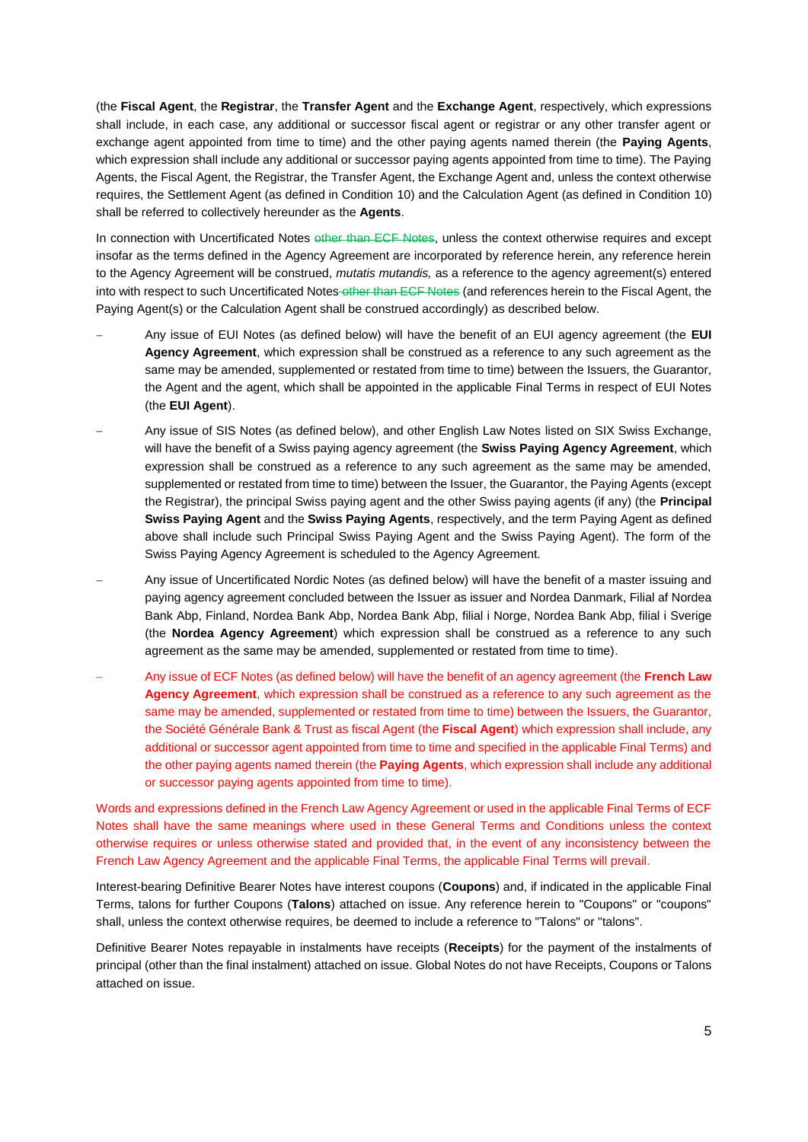(the **Fiscal Agent**, the **Registrar**, the **Transfer Agent** and the **Exchange Agent**, respectively, which expressions shall include, in each case, any additional or successor fiscal agent or registrar or any other transfer agent or exchange agent appointed from time to time) and the other paying agents named therein (the **Paying Agents**, which expression shall include any additional or successor paying agents appointed from time to time). The Paying Agents, the Fiscal Agent, the Registrar, the Transfer Agent, the Exchange Agent and, unless the context otherwise requires, the Settlement Agent (as defined in Condition 10) and the Calculation Agent (as defined in Condition 10) shall be referred to collectively hereunder as the **Agents**.

In connection with Uncertificated Notes other than ECF Notes, unless the context otherwise requires and except insofar as the terms defined in the Agency Agreement are incorporated by reference herein, any reference herein to the Agency Agreement will be construed, *mutatis mutandis,* as a reference to the agency agreement(s) entered into with respect to such Uncertificated Notes-other than ECF Notes (and references herein to the Fiscal Agent, the Paying Agent(s) or the Calculation Agent shall be construed accordingly) as described below.

- Any issue of EUI Notes (as defined below) will have the benefit of an EUI agency agreement (the **EUI Agency Agreement**, which expression shall be construed as a reference to any such agreement as the same may be amended, supplemented or restated from time to time) between the Issuers, the Guarantor, the Agent and the agent, which shall be appointed in the applicable Final Terms in respect of EUI Notes (the **EUI Agent**).
- Any issue of SIS Notes (as defined below), and other English Law Notes listed on SIX Swiss Exchange, will have the benefit of a Swiss paying agency agreement (the **Swiss Paying Agency Agreement**, which expression shall be construed as a reference to any such agreement as the same may be amended, supplemented or restated from time to time) between the Issuer, the Guarantor, the Paying Agents (except the Registrar), the principal Swiss paying agent and the other Swiss paying agents (if any) (the **Principal Swiss Paying Agent** and the **Swiss Paying Agents**, respectively, and the term Paying Agent as defined above shall include such Principal Swiss Paying Agent and the Swiss Paying Agent). The form of the Swiss Paying Agency Agreement is scheduled to the Agency Agreement.
- Any issue of Uncertificated Nordic Notes (as defined below) will have the benefit of a master issuing and paying agency agreement concluded between the Issuer as issuer and Nordea Danmark, Filial af Nordea Bank Abp, Finland, Nordea Bank Abp, Nordea Bank Abp, filial i Norge, Nordea Bank Abp, filial i Sverige (the **Nordea Agency Agreement**) which expression shall be construed as a reference to any such agreement as the same may be amended, supplemented or restated from time to time).
- Any issue of ECF Notes (as defined below) will have the benefit of an agency agreement (the **French Law Agency Agreement**, which expression shall be construed as a reference to any such agreement as the same may be amended, supplemented or restated from time to time) between the Issuers, the Guarantor, the Société Générale Bank & Trust as fiscal Agent (the **Fiscal Agent**) which expression shall include, any additional or successor agent appointed from time to time and specified in the applicable Final Terms) and the other paying agents named therein (the **Paying Agents**, which expression shall include any additional or successor paying agents appointed from time to time).

Words and expressions defined in the French Law Agency Agreement or used in the applicable Final Terms of ECF Notes shall have the same meanings where used in these General Terms and Conditions unless the context otherwise requires or unless otherwise stated and provided that, in the event of any inconsistency between the French Law Agency Agreement and the applicable Final Terms, the applicable Final Terms will prevail.

Interest-bearing Definitive Bearer Notes have interest coupons (**Coupons**) and, if indicated in the applicable Final Terms, talons for further Coupons (**Talons**) attached on issue. Any reference herein to "Coupons" or "coupons" shall, unless the context otherwise requires, be deemed to include a reference to "Talons" or "talons".

Definitive Bearer Notes repayable in instalments have receipts (**Receipts**) for the payment of the instalments of principal (other than the final instalment) attached on issue. Global Notes do not have Receipts, Coupons or Talons attached on issue.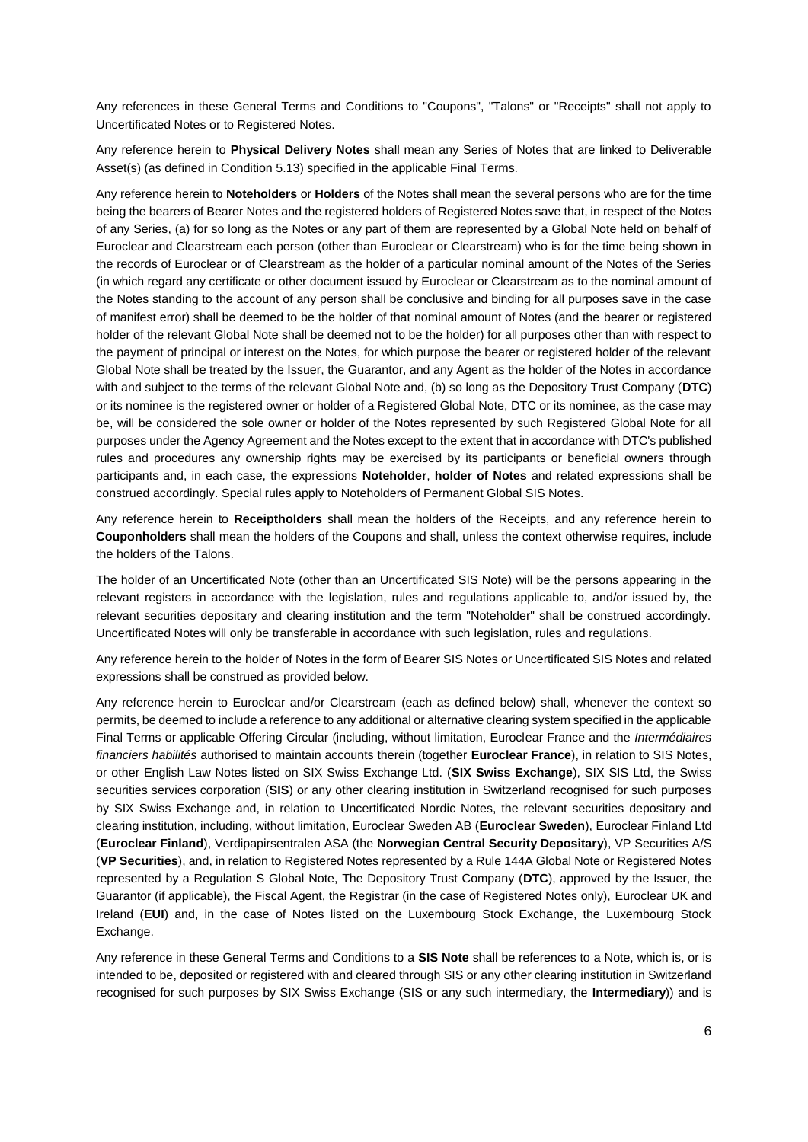Any references in these General Terms and Conditions to "Coupons", "Talons" or "Receipts" shall not apply to Uncertificated Notes or to Registered Notes.

Any reference herein to **Physical Delivery Notes** shall mean any Series of Notes that are linked to Deliverable Asset(s) (as defined in Condition 5.13) specified in the applicable Final Terms.

Any reference herein to **Noteholders** or **Holders** of the Notes shall mean the several persons who are for the time being the bearers of Bearer Notes and the registered holders of Registered Notes save that, in respect of the Notes of any Series, (a) for so long as the Notes or any part of them are represented by a Global Note held on behalf of Euroclear and Clearstream each person (other than Euroclear or Clearstream) who is for the time being shown in the records of Euroclear or of Clearstream as the holder of a particular nominal amount of the Notes of the Series (in which regard any certificate or other document issued by Euroclear or Clearstream as to the nominal amount of the Notes standing to the account of any person shall be conclusive and binding for all purposes save in the case of manifest error) shall be deemed to be the holder of that nominal amount of Notes (and the bearer or registered holder of the relevant Global Note shall be deemed not to be the holder) for all purposes other than with respect to the payment of principal or interest on the Notes, for which purpose the bearer or registered holder of the relevant Global Note shall be treated by the Issuer, the Guarantor, and any Agent as the holder of the Notes in accordance with and subject to the terms of the relevant Global Note and, (b) so long as the Depository Trust Company (**DTC**) or its nominee is the registered owner or holder of a Registered Global Note, DTC or its nominee, as the case may be, will be considered the sole owner or holder of the Notes represented by such Registered Global Note for all purposes under the Agency Agreement and the Notes except to the extent that in accordance with DTC's published rules and procedures any ownership rights may be exercised by its participants or beneficial owners through participants and, in each case, the expressions **Noteholder**, **holder of Notes** and related expressions shall be construed accordingly. Special rules apply to Noteholders of Permanent Global SIS Notes.

Any reference herein to **Receiptholders** shall mean the holders of the Receipts, and any reference herein to **Couponholders** shall mean the holders of the Coupons and shall, unless the context otherwise requires, include the holders of the Talons.

The holder of an Uncertificated Note (other than an Uncertificated SIS Note) will be the persons appearing in the relevant registers in accordance with the legislation, rules and regulations applicable to, and/or issued by, the relevant securities depositary and clearing institution and the term "Noteholder" shall be construed accordingly. Uncertificated Notes will only be transferable in accordance with such legislation, rules and regulations.

Any reference herein to the holder of Notes in the form of Bearer SIS Notes or Uncertificated SIS Notes and related expressions shall be construed as provided below.

Any reference herein to Euroclear and/or Clearstream (each as defined below) shall, whenever the context so permits, be deemed to include a reference to any additional or alternative clearing system specified in the applicable Final Terms or applicable Offering Circular (including, without limitation, Euroclear France and the *Intermédiaires financiers habilités* authorised to maintain accounts therein (together **Euroclear France**), in relation to SIS Notes, or other English Law Notes listed on SIX Swiss Exchange Ltd. (**SIX Swiss Exchange**), SIX SIS Ltd, the Swiss securities services corporation (**SIS**) or any other clearing institution in Switzerland recognised for such purposes by SIX Swiss Exchange and, in relation to Uncertificated Nordic Notes, the relevant securities depositary and clearing institution, including, without limitation, Euroclear Sweden AB (**Euroclear Sweden**), Euroclear Finland Ltd (**Euroclear Finland**), Verdipapirsentralen ASA (the **Norwegian Central Security Depositary**), VP Securities A/S (**VP Securities**), and, in relation to Registered Notes represented by a Rule 144A Global Note or Registered Notes represented by a Regulation S Global Note, The Depository Trust Company (**DTC**), approved by the Issuer, the Guarantor (if applicable), the Fiscal Agent, the Registrar (in the case of Registered Notes only), Euroclear UK and Ireland (**EUI**) and, in the case of Notes listed on the Luxembourg Stock Exchange, the Luxembourg Stock Exchange.

Any reference in these General Terms and Conditions to a **SIS Note** shall be references to a Note, which is, or is intended to be, deposited or registered with and cleared through SIS or any other clearing institution in Switzerland recognised for such purposes by SIX Swiss Exchange (SIS or any such intermediary, the **Intermediary**)) and is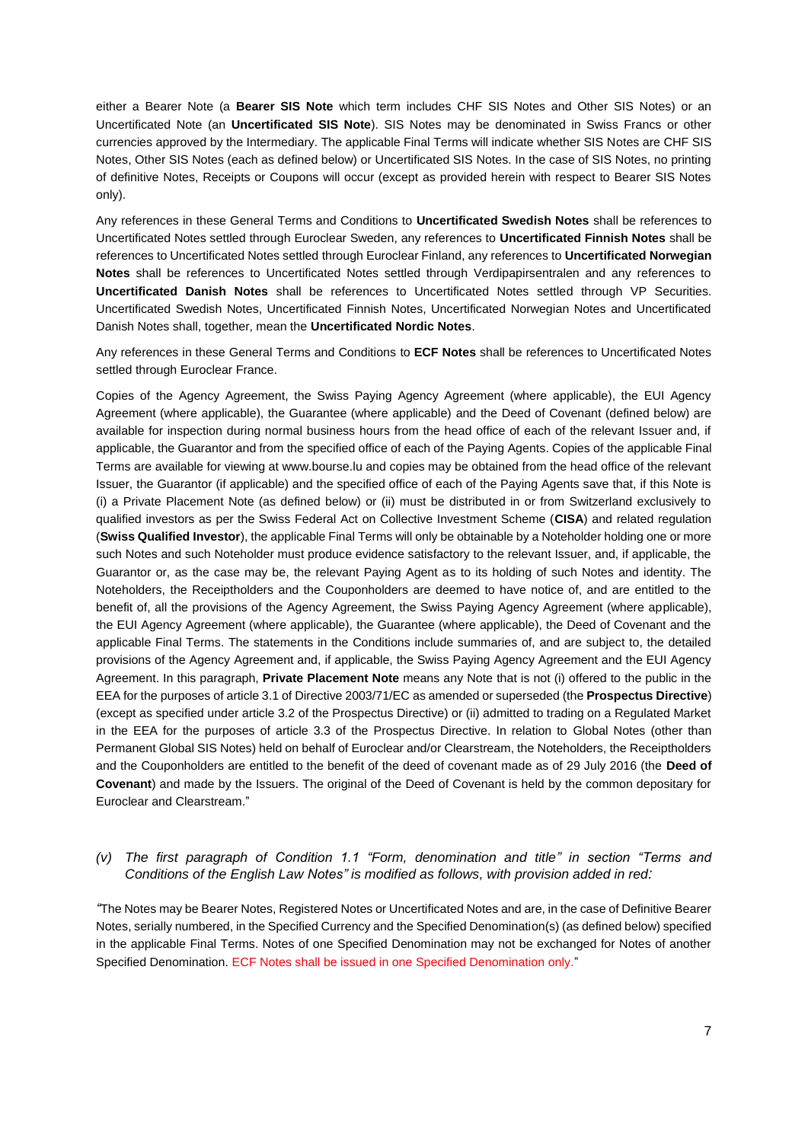either a Bearer Note (a **Bearer SIS Note** which term includes CHF SIS Notes and Other SIS Notes) or an Uncertificated Note (an **Uncertificated SIS Note**). SIS Notes may be denominated in Swiss Francs or other currencies approved by the Intermediary. The applicable Final Terms will indicate whether SIS Notes are CHF SIS Notes, Other SIS Notes (each as defined below) or Uncertificated SIS Notes. In the case of SIS Notes, no printing of definitive Notes, Receipts or Coupons will occur (except as provided herein with respect to Bearer SIS Notes only).

Any references in these General Terms and Conditions to **Uncertificated Swedish Notes** shall be references to Uncertificated Notes settled through Euroclear Sweden, any references to **Uncertificated Finnish Notes** shall be references to Uncertificated Notes settled through Euroclear Finland, any references to **Uncertificated Norwegian Notes** shall be references to Uncertificated Notes settled through Verdipapirsentralen and any references to **Uncertificated Danish Notes** shall be references to Uncertificated Notes settled through VP Securities. Uncertificated Swedish Notes, Uncertificated Finnish Notes, Uncertificated Norwegian Notes and Uncertificated Danish Notes shall, together, mean the **Uncertificated Nordic Notes**.

Any references in these General Terms and Conditions to **ECF Notes** shall be references to Uncertificated Notes settled through Euroclear France.

Copies of the Agency Agreement, the Swiss Paying Agency Agreement (where applicable), the EUI Agency Agreement (where applicable), the Guarantee (where applicable) and the Deed of Covenant (defined below) are available for inspection during normal business hours from the head office of each of the relevant Issuer and, if applicable, the Guarantor and from the specified office of each of the Paying Agents. Copies of the applicable Final Terms are available for viewing at www.bourse.lu and copies may be obtained from the head office of the relevant Issuer, the Guarantor (if applicable) and the specified office of each of the Paying Agents save that, if this Note is (i) a Private Placement Note (as defined below) or (ii) must be distributed in or from Switzerland exclusively to qualified investors as per the Swiss Federal Act on Collective Investment Scheme (**CISA**) and related regulation (**Swiss Qualified Investor**), the applicable Final Terms will only be obtainable by a Noteholder holding one or more such Notes and such Noteholder must produce evidence satisfactory to the relevant Issuer, and, if applicable, the Guarantor or, as the case may be, the relevant Paying Agent as to its holding of such Notes and identity. The Noteholders, the Receiptholders and the Couponholders are deemed to have notice of, and are entitled to the benefit of, all the provisions of the Agency Agreement, the Swiss Paying Agency Agreement (where applicable), the EUI Agency Agreement (where applicable), the Guarantee (where applicable), the Deed of Covenant and the applicable Final Terms. The statements in the Conditions include summaries of, and are subject to, the detailed provisions of the Agency Agreement and, if applicable, the Swiss Paying Agency Agreement and the EUI Agency Agreement. In this paragraph, **Private Placement Note** means any Note that is not (i) offered to the public in the EEA for the purposes of article 3.1 of Directive 2003/71/EC as amended or superseded (the **Prospectus Directive**) (except as specified under article 3.2 of the Prospectus Directive) or (ii) admitted to trading on a Regulated Market in the EEA for the purposes of article 3.3 of the Prospectus Directive. In relation to Global Notes (other than Permanent Global SIS Notes) held on behalf of Euroclear and/or Clearstream, the Noteholders, the Receiptholders and the Couponholders are entitled to the benefit of the deed of covenant made as of 29 July 2016 (the **Deed of Covenant**) and made by the Issuers. The original of the Deed of Covenant is held by the common depositary for Euroclear and Clearstream."

## *(v) The first paragraph of Condition 1.1 "Form, denomination and title" in section "Terms and Conditions of the English Law Notes" is modified as follows, with provision added in red:*

*"*The Notes may be Bearer Notes, Registered Notes or Uncertificated Notes and are, in the case of Definitive Bearer Notes, serially numbered, in the Specified Currency and the Specified Denomination(s) (as defined below) specified in the applicable Final Terms. Notes of one Specified Denomination may not be exchanged for Notes of another Specified Denomination. ECF Notes shall be issued in one Specified Denomination only."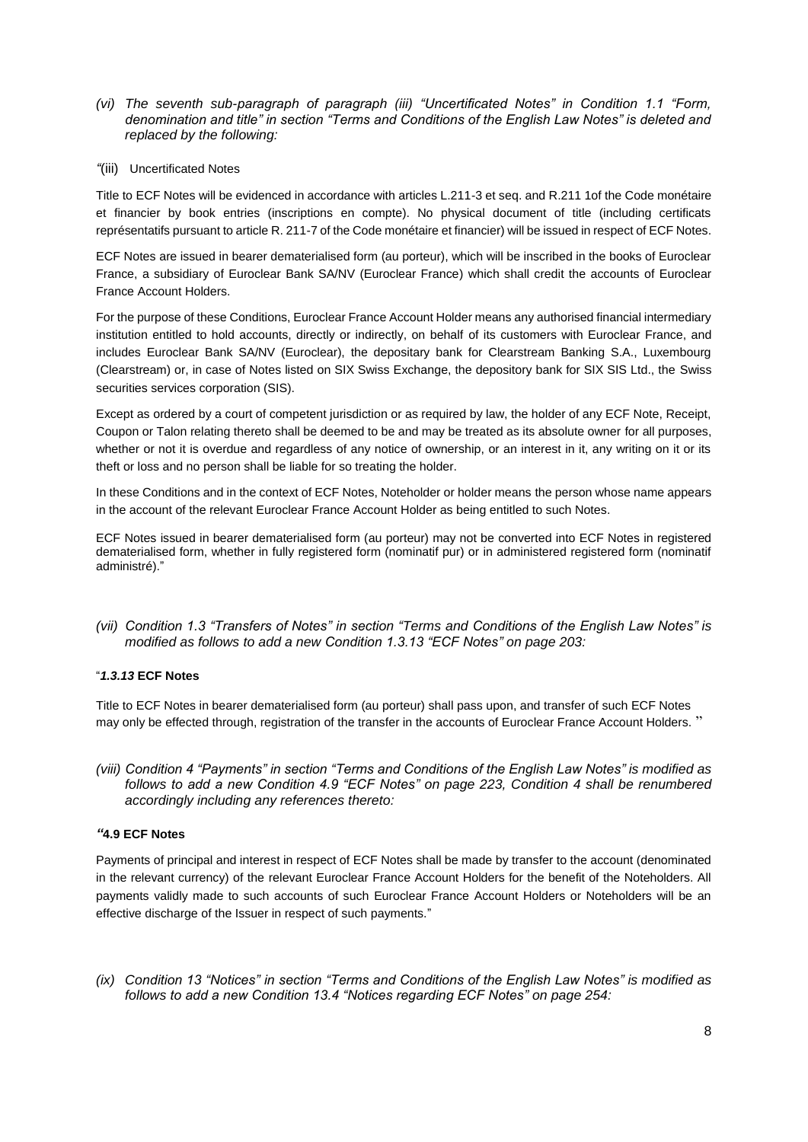- *(vi) The seventh sub-paragraph of paragraph (iii) "Uncertificated Notes" in Condition 1.1 "Form, denomination and title" in section "Terms and Conditions of the English Law Notes" is deleted and replaced by the following:*
- *"*(iii)Uncertificated Notes

Title to ECF Notes will be evidenced in accordance with articles L.211-3 et seq. and R.211 1of the Code monétaire et financier by book entries (inscriptions en compte). No physical document of title (including certificats représentatifs pursuant to article R. 211-7 of the Code monétaire et financier) will be issued in respect of ECF Notes.

ECF Notes are issued in bearer dematerialised form (au porteur), which will be inscribed in the books of Euroclear France, a subsidiary of Euroclear Bank SA/NV (Euroclear France) which shall credit the accounts of Euroclear France Account Holders.

For the purpose of these Conditions, Euroclear France Account Holder means any authorised financial intermediary institution entitled to hold accounts, directly or indirectly, on behalf of its customers with Euroclear France, and includes Euroclear Bank SA/NV (Euroclear), the depositary bank for Clearstream Banking S.A., Luxembourg (Clearstream) or, in case of Notes listed on SIX Swiss Exchange, the depository bank for SIX SIS Ltd., the Swiss securities services corporation (SIS).

Except as ordered by a court of competent jurisdiction or as required by law, the holder of any ECF Note, Receipt, Coupon or Talon relating thereto shall be deemed to be and may be treated as its absolute owner for all purposes, whether or not it is overdue and regardless of any notice of ownership, or an interest in it, any writing on it or its theft or loss and no person shall be liable for so treating the holder.

In these Conditions and in the context of ECF Notes, Noteholder or holder means the person whose name appears in the account of the relevant Euroclear France Account Holder as being entitled to such Notes.

ECF Notes issued in bearer dematerialised form (au porteur) may not be converted into ECF Notes in registered dematerialised form, whether in fully registered form (nominatif pur) or in administered registered form (nominatif administré)."

*(vii) Condition 1.3 "Transfers of Notes" in section "Terms and Conditions of the English Law Notes" is modified as follows to add a new Condition 1.3.13 "ECF Notes" on page 203:*

## "*1.3.13* **ECF Notes**

Title to ECF Notes in bearer dematerialised form (au porteur) shall pass upon, and transfer of such ECF Notes may only be effected through, registration of the transfer in the accounts of Euroclear France Account Holders. "

*(viii) Condition 4 "Payments" in section "Terms and Conditions of the English Law Notes" is modified as follows to add a new Condition 4.9 "ECF Notes" on page 223, Condition 4 shall be renumbered accordingly including any references thereto:*

## *"***4.9 ECF Notes**

Payments of principal and interest in respect of ECF Notes shall be made by transfer to the account (denominated in the relevant currency) of the relevant Euroclear France Account Holders for the benefit of the Noteholders. All payments validly made to such accounts of such Euroclear France Account Holders or Noteholders will be an effective discharge of the Issuer in respect of such payments."

*(ix) Condition 13 "Notices" in section "Terms and Conditions of the English Law Notes" is modified as follows to add a new Condition 13.4 "Notices regarding ECF Notes" on page 254:*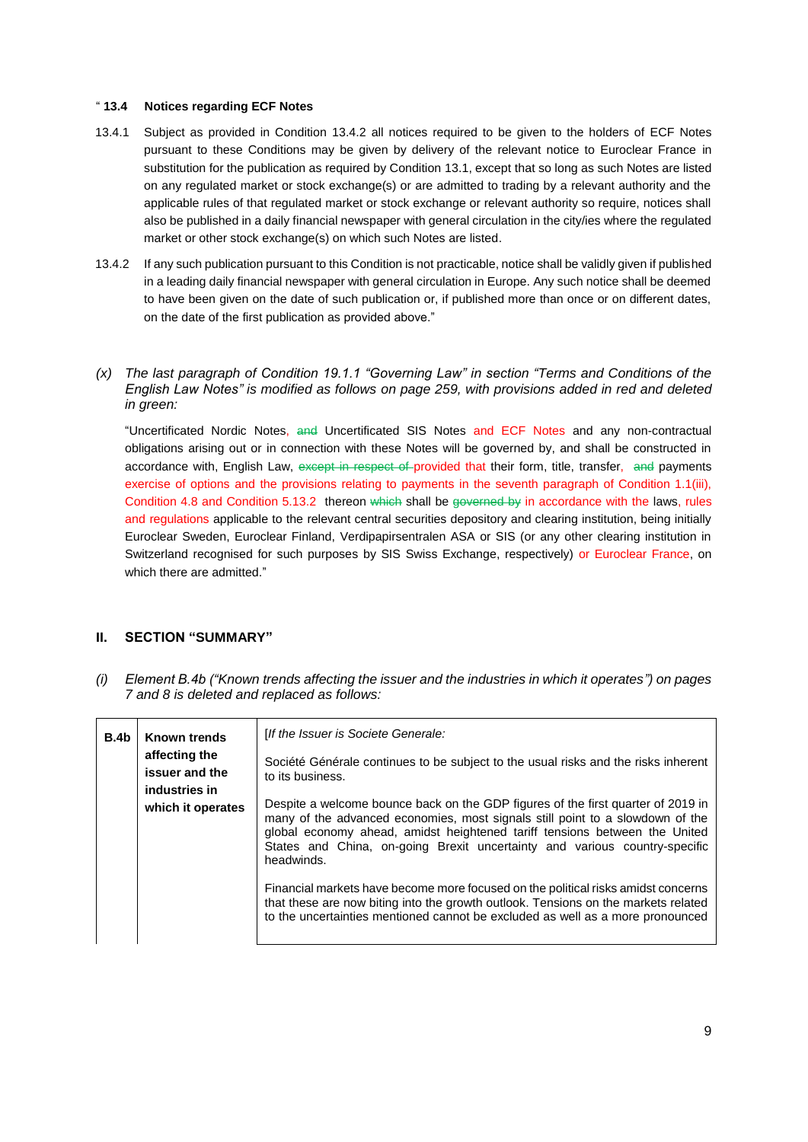#### " **13.4 Notices regarding ECF Notes**

- 13.4.1 Subject as provided in Condition 13.4.2 all notices required to be given to the holders of ECF Notes pursuant to these Conditions may be given by delivery of the relevant notice to Euroclear France in substitution for the publication as required by Condition 13.1, except that so long as such Notes are listed on any regulated market or stock exchange(s) or are admitted to trading by a relevant authority and the applicable rules of that regulated market or stock exchange or relevant authority so require, notices shall also be published in a daily financial newspaper with general circulation in the city/ies where the regulated market or other stock exchange(s) on which such Notes are listed.
- 13.4.2 If any such publication pursuant to this Condition is not practicable, notice shall be validly given if published in a leading daily financial newspaper with general circulation in Europe. Any such notice shall be deemed to have been given on the date of such publication or, if published more than once or on different dates, on the date of the first publication as provided above."

## *(x) The last paragraph of Condition 19.1.1 "Governing Law" in section "Terms and Conditions of the English Law Notes" is modified as follows on page 259, with provisions added in red and deleted in green:*

"Uncertificated Nordic Notes, and Uncertificated SIS Notes and ECF Notes and any non-contractual obligations arising out or in connection with these Notes will be governed by, and shall be constructed in accordance with, English Law, except in respect of provided that their form, title, transfer, and payments exercise of options and the provisions relating to payments in the seventh paragraph of Condition 1.1(iii), Condition 4.8 and Condition 5.13.2 thereon which shall be governed by in accordance with the laws, rules and regulations applicable to the relevant central securities depository and clearing institution, being initially Euroclear Sweden, Euroclear Finland, Verdipapirsentralen ASA or SIS (or any other clearing institution in Switzerland recognised for such purposes by SIS Swiss Exchange, respectively) or Euroclear France, on which there are admitted."

# **II. SECTION "SUMMARY"**

*(i) Element B.4b ("Known trends affecting the issuer and the industries in which it operates") on pages 7 and 8 is deleted and replaced as follows:* 

| B.4b | <b>Known trends</b>                                                   | [If the Issuer is Societe Generale:                                                                                                                                                                                                                                                                                                         |
|------|-----------------------------------------------------------------------|---------------------------------------------------------------------------------------------------------------------------------------------------------------------------------------------------------------------------------------------------------------------------------------------------------------------------------------------|
|      | affecting the<br>issuer and the<br>industries in<br>which it operates | Société Générale continues to be subject to the usual risks and the risks inherent<br>to its business.                                                                                                                                                                                                                                      |
|      |                                                                       | Despite a welcome bounce back on the GDP figures of the first quarter of 2019 in<br>many of the advanced economies, most signals still point to a slowdown of the<br>global economy ahead, amidst heightened tariff tensions between the United<br>States and China, on-going Brexit uncertainty and various country-specific<br>headwinds. |
|      |                                                                       | Financial markets have become more focused on the political risks amidst concerns<br>that these are now biting into the growth outlook. Tensions on the markets related<br>to the uncertainties mentioned cannot be excluded as well as a more pronounced                                                                                   |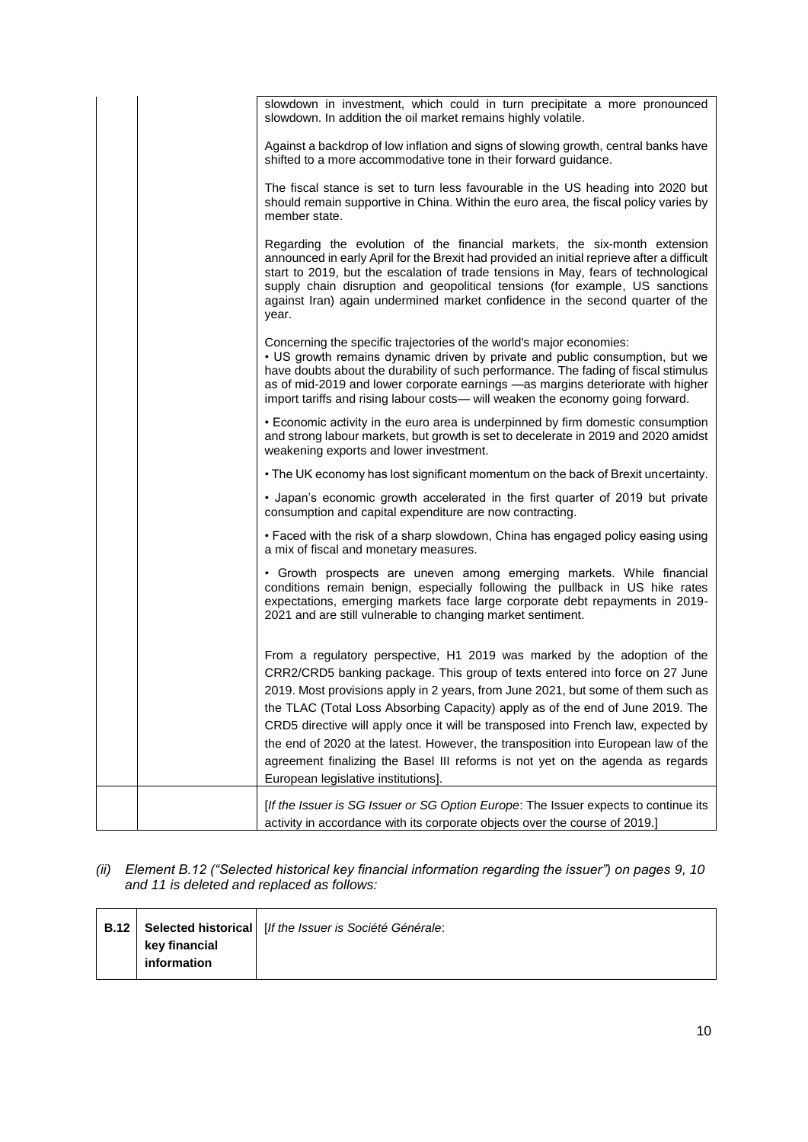|  | slowdown in investment, which could in turn precipitate a more pronounced<br>slowdown. In addition the oil market remains highly volatile.                                                                                                                                                                                                                                                                                                                                                                                                                                                                                         |
|--|------------------------------------------------------------------------------------------------------------------------------------------------------------------------------------------------------------------------------------------------------------------------------------------------------------------------------------------------------------------------------------------------------------------------------------------------------------------------------------------------------------------------------------------------------------------------------------------------------------------------------------|
|  | Against a backdrop of low inflation and signs of slowing growth, central banks have<br>shifted to a more accommodative tone in their forward guidance.                                                                                                                                                                                                                                                                                                                                                                                                                                                                             |
|  | The fiscal stance is set to turn less favourable in the US heading into 2020 but<br>should remain supportive in China. Within the euro area, the fiscal policy varies by<br>member state.                                                                                                                                                                                                                                                                                                                                                                                                                                          |
|  | Regarding the evolution of the financial markets, the six-month extension<br>announced in early April for the Brexit had provided an initial reprieve after a difficult<br>start to 2019, but the escalation of trade tensions in May, fears of technological<br>supply chain disruption and geopolitical tensions (for example, US sanctions<br>against Iran) again undermined market confidence in the second quarter of the<br>year.                                                                                                                                                                                            |
|  | Concerning the specific trajectories of the world's major economies:<br>• US growth remains dynamic driven by private and public consumption, but we<br>have doubts about the durability of such performance. The fading of fiscal stimulus<br>as of mid-2019 and lower corporate earnings -as margins deteriorate with higher<br>import tariffs and rising labour costs— will weaken the economy going forward.                                                                                                                                                                                                                   |
|  | • Economic activity in the euro area is underpinned by firm domestic consumption<br>and strong labour markets, but growth is set to decelerate in 2019 and 2020 amidst<br>weakening exports and lower investment.                                                                                                                                                                                                                                                                                                                                                                                                                  |
|  | • The UK economy has lost significant momentum on the back of Brexit uncertainty.                                                                                                                                                                                                                                                                                                                                                                                                                                                                                                                                                  |
|  | • Japan's economic growth accelerated in the first quarter of 2019 but private<br>consumption and capital expenditure are now contracting.                                                                                                                                                                                                                                                                                                                                                                                                                                                                                         |
|  | • Faced with the risk of a sharp slowdown, China has engaged policy easing using<br>a mix of fiscal and monetary measures.                                                                                                                                                                                                                                                                                                                                                                                                                                                                                                         |
|  | • Growth prospects are uneven among emerging markets. While financial<br>conditions remain benign, especially following the pullback in US hike rates<br>expectations, emerging markets face large corporate debt repayments in 2019-<br>2021 and are still vulnerable to changing market sentiment.                                                                                                                                                                                                                                                                                                                               |
|  | From a regulatory perspective, H1 2019 was marked by the adoption of the<br>CRR2/CRD5 banking package. This group of texts entered into force on 27 June<br>2019. Most provisions apply in 2 years, from June 2021, but some of them such as<br>the TLAC (Total Loss Absorbing Capacity) apply as of the end of June 2019. The<br>CRD5 directive will apply once it will be transposed into French law, expected by<br>the end of 2020 at the latest. However, the transposition into European law of the<br>agreement finalizing the Basel III reforms is not yet on the agenda as regards<br>European legislative institutions]. |
|  | [If the Issuer is SG Issuer or SG Option Europe: The Issuer expects to continue its<br>activity in accordance with its corporate objects over the course of 2019.]                                                                                                                                                                                                                                                                                                                                                                                                                                                                 |

## *(ii) Element B.12 ("Selected historical key financial information regarding the issuer") on pages 9, 10 and 11 is deleted and replaced as follows:*

| key financial |  |
|---------------|--|
|               |  |
| information   |  |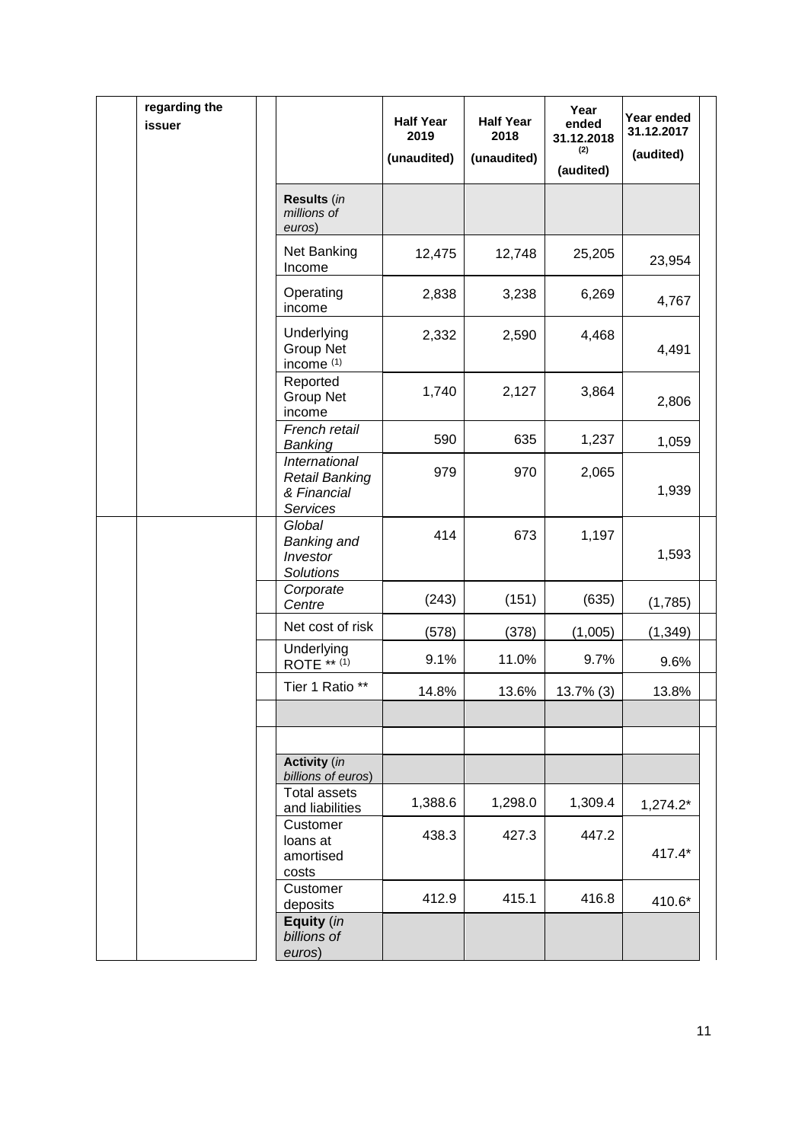|  | regarding the<br>issuer |                                                                   | <b>Half Year</b><br>2019<br>(unaudited) | <b>Half Year</b><br>2018<br>(unaudited) | Year<br>ended<br>31.12.2018<br>(2)<br>(audited) | Year ended<br>31.12.2017<br>(audited) |  |
|--|-------------------------|-------------------------------------------------------------------|-----------------------------------------|-----------------------------------------|-------------------------------------------------|---------------------------------------|--|
|  |                         | Results (in<br>millions of<br>euros)                              |                                         |                                         |                                                 |                                       |  |
|  |                         | Net Banking<br>Income                                             | 12,475                                  | 12,748                                  | 25,205                                          | 23,954                                |  |
|  |                         | Operating<br>income                                               | 2,838                                   | 3,238                                   | 6,269                                           | 4,767                                 |  |
|  |                         | Underlying<br><b>Group Net</b><br>income <sup>(1)</sup>           | 2,332                                   | 2,590                                   | 4,468                                           | 4,491                                 |  |
|  |                         | Reported<br><b>Group Net</b><br>income                            | 1,740                                   | 2,127                                   | 3,864                                           | 2,806                                 |  |
|  |                         | French retail<br>Banking                                          | 590                                     | 635                                     | 1,237                                           | 1,059                                 |  |
|  |                         | International<br><b>Retail Banking</b><br>& Financial<br>Services | 979                                     | 970                                     | 2,065                                           | 1,939                                 |  |
|  |                         | Global<br><b>Banking and</b><br>Investor<br><b>Solutions</b>      | 414                                     | 673                                     | 1,197                                           | 1,593                                 |  |
|  |                         | Corporate<br>Centre                                               | (243)                                   | (151)                                   | (635)                                           | (1,785)                               |  |
|  |                         | Net cost of risk                                                  | (578)                                   | (378)                                   | (1,005)                                         | (1, 349)                              |  |
|  |                         | Underlying<br>ROTE ** (1)                                         | 9.1%                                    | 11.0%                                   | 9.7%                                            | 9.6%                                  |  |
|  |                         | Tier 1 Ratio **                                                   | 14.8%                                   | 13.6%                                   | 13.7% (3)                                       | 13.8%                                 |  |
|  |                         |                                                                   |                                         |                                         |                                                 |                                       |  |
|  |                         | <b>Activity</b> (in<br>billions of euros)                         |                                         |                                         |                                                 |                                       |  |
|  |                         | <b>Total assets</b><br>and liabilities                            | 1,388.6                                 | 1,298.0                                 | 1,309.4                                         | $1,274.2*$                            |  |
|  |                         | Customer<br>loans at<br>amortised<br>costs                        | 438.3                                   | 427.3                                   | 447.2                                           | 417.4*                                |  |
|  |                         | Customer<br>deposits                                              | 412.9                                   | 415.1                                   | 416.8                                           | 410.6*                                |  |
|  |                         | Equity (in<br>billions of<br>euros)                               |                                         |                                         |                                                 |                                       |  |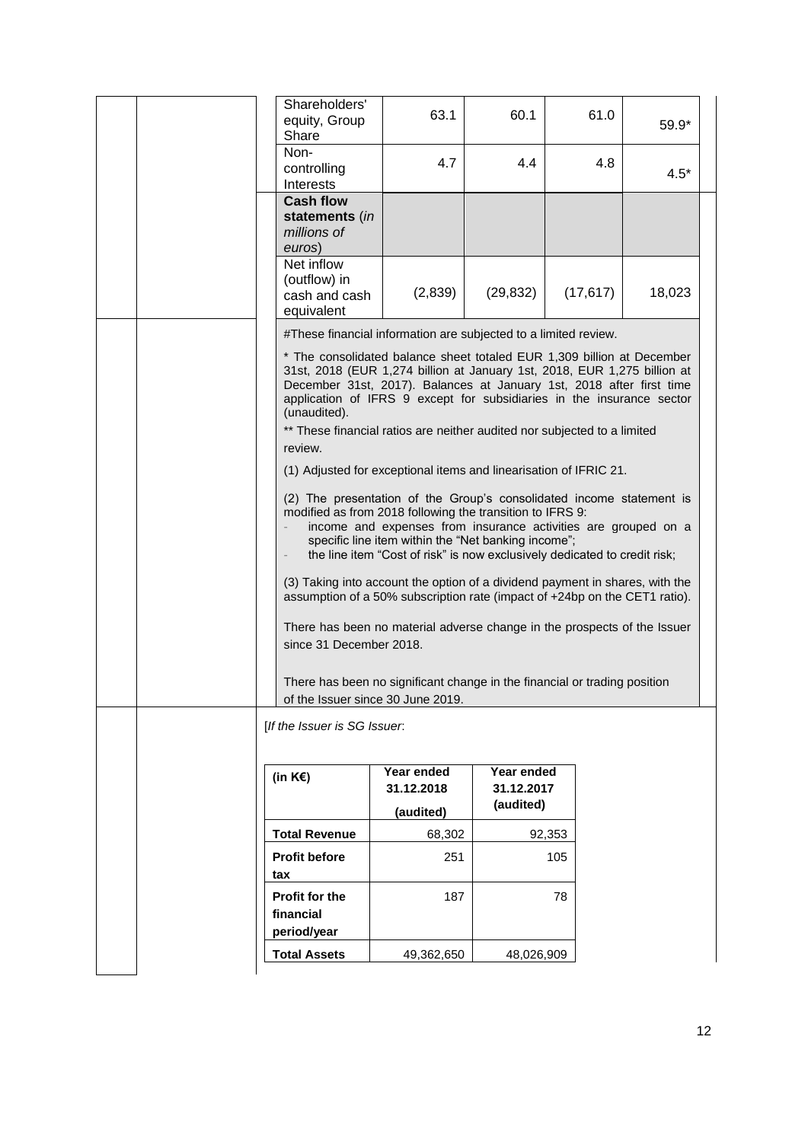|  | Shareholders'<br>equity, Group<br>Share                                                                                                                                                                                                                                                                                                                                                         | 63.1                                                                                                                                                                                               | 60.1                                  | 61.0      | 59.9*  |  |
|--|-------------------------------------------------------------------------------------------------------------------------------------------------------------------------------------------------------------------------------------------------------------------------------------------------------------------------------------------------------------------------------------------------|----------------------------------------------------------------------------------------------------------------------------------------------------------------------------------------------------|---------------------------------------|-----------|--------|--|
|  | Non-<br>controlling<br>Interests                                                                                                                                                                                                                                                                                                                                                                | 4.7                                                                                                                                                                                                | 4.4                                   | 4.8       | $4.5*$ |  |
|  | <b>Cash flow</b><br>statements (in<br>millions of<br>euros)                                                                                                                                                                                                                                                                                                                                     |                                                                                                                                                                                                    |                                       |           |        |  |
|  | Net inflow<br>(outflow) in<br>cash and cash<br>equivalent                                                                                                                                                                                                                                                                                                                                       | (2,839)                                                                                                                                                                                            | (29, 832)                             | (17, 617) | 18,023 |  |
|  | #These financial information are subjected to a limited review.                                                                                                                                                                                                                                                                                                                                 |                                                                                                                                                                                                    |                                       |           |        |  |
|  | * The consolidated balance sheet totaled EUR 1,309 billion at December<br>31st, 2018 (EUR 1,274 billion at January 1st, 2018, EUR 1,275 billion at<br>December 31st, 2017). Balances at January 1st, 2018 after first time<br>application of IFRS 9 except for subsidiaries in the insurance sector<br>(unaudited).<br>** These financial ratios are neither audited nor subjected to a limited |                                                                                                                                                                                                    |                                       |           |        |  |
|  | review.                                                                                                                                                                                                                                                                                                                                                                                         |                                                                                                                                                                                                    |                                       |           |        |  |
|  | (1) Adjusted for exceptional items and linearisation of IFRIC 21.                                                                                                                                                                                                                                                                                                                               |                                                                                                                                                                                                    |                                       |           |        |  |
|  | (2) The presentation of the Group's consolidated income statement is<br>modified as from 2018 following the transition to IFRS 9:<br>(3) Taking into account the option of a dividend payment in shares, with the<br>assumption of a 50% subscription rate (impact of +24bp on the CET1 ratio).                                                                                                 | income and expenses from insurance activities are grouped on a<br>specific line item within the "Net banking income";<br>the line item "Cost of risk" is now exclusively dedicated to credit risk; |                                       |           |        |  |
|  | There has been no material adverse change in the prospects of the Issuer<br>since 31 December 2018.<br>There has been no significant change in the financial or trading position                                                                                                                                                                                                                |                                                                                                                                                                                                    |                                       |           |        |  |
|  | of the Issuer since 30 June 2019.                                                                                                                                                                                                                                                                                                                                                               |                                                                                                                                                                                                    |                                       |           |        |  |
|  | [If the Issuer is SG Issuer.                                                                                                                                                                                                                                                                                                                                                                    |                                                                                                                                                                                                    |                                       |           |        |  |
|  | (in $K \in \mathcal{E}$ )                                                                                                                                                                                                                                                                                                                                                                       | Year ended<br>31.12.2018                                                                                                                                                                           | Year ended<br>31.12.2017<br>(audited) |           |        |  |
|  |                                                                                                                                                                                                                                                                                                                                                                                                 | (audited)                                                                                                                                                                                          |                                       |           |        |  |
|  | <b>Total Revenue</b>                                                                                                                                                                                                                                                                                                                                                                            | 68,302                                                                                                                                                                                             |                                       | 92,353    |        |  |
|  | <b>Profit before</b>                                                                                                                                                                                                                                                                                                                                                                            | 251                                                                                                                                                                                                |                                       | 105       |        |  |
|  | tax<br><b>Profit for the</b><br>financial<br>period/year                                                                                                                                                                                                                                                                                                                                        | 187                                                                                                                                                                                                |                                       | 78        |        |  |
|  | <b>Total Assets</b>                                                                                                                                                                                                                                                                                                                                                                             | 49,362,650                                                                                                                                                                                         | 48,026,909                            |           |        |  |
|  |                                                                                                                                                                                                                                                                                                                                                                                                 |                                                                                                                                                                                                    |                                       |           |        |  |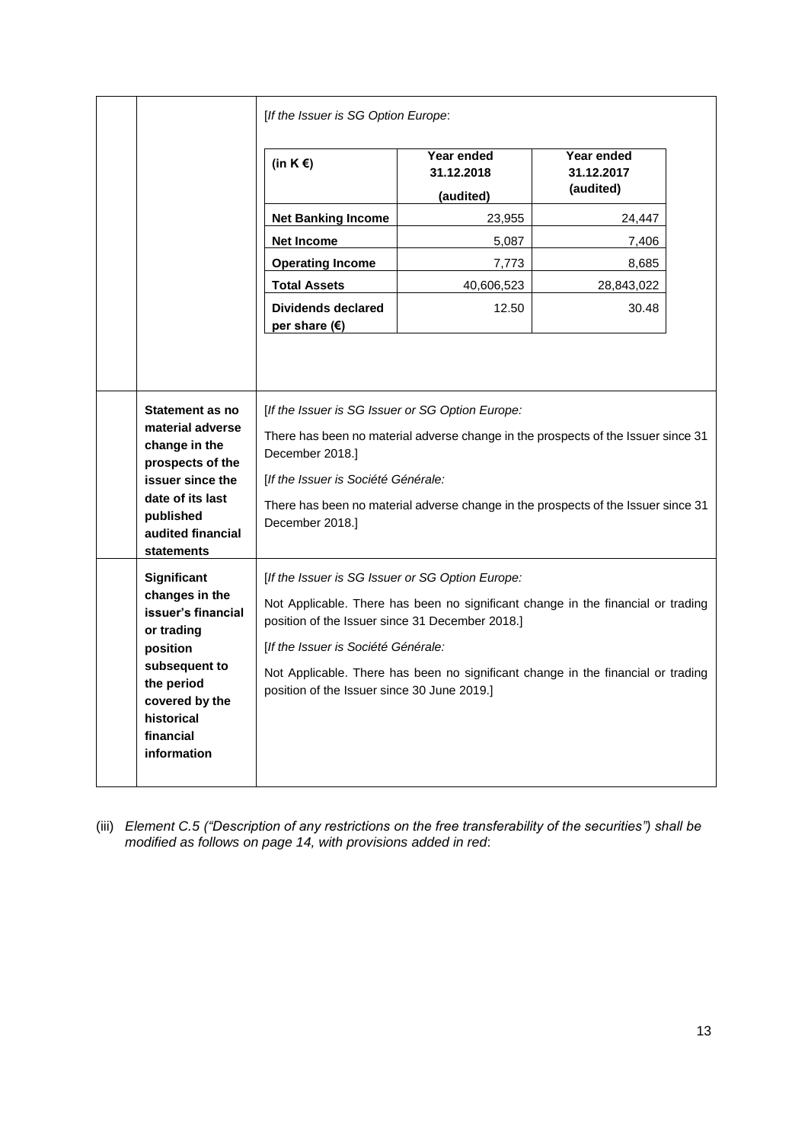|                                                                                                                                                                                                                                                                                                                                                                                                                                                                             |                                                                                                                                                                          | [If the Issuer is SG Option Europe:                                                                                                                                                                                                                                                                                                                               |                                       |                                       |  |
|-----------------------------------------------------------------------------------------------------------------------------------------------------------------------------------------------------------------------------------------------------------------------------------------------------------------------------------------------------------------------------------------------------------------------------------------------------------------------------|--------------------------------------------------------------------------------------------------------------------------------------------------------------------------|-------------------------------------------------------------------------------------------------------------------------------------------------------------------------------------------------------------------------------------------------------------------------------------------------------------------------------------------------------------------|---------------------------------------|---------------------------------------|--|
|                                                                                                                                                                                                                                                                                                                                                                                                                                                                             |                                                                                                                                                                          | (in $K \in \mathcal{E}$ )                                                                                                                                                                                                                                                                                                                                         | Year ended<br>31.12.2018<br>(audited) | Year ended<br>31.12.2017<br>(audited) |  |
|                                                                                                                                                                                                                                                                                                                                                                                                                                                                             |                                                                                                                                                                          | <b>Net Banking Income</b>                                                                                                                                                                                                                                                                                                                                         | 23,955                                | 24,447                                |  |
|                                                                                                                                                                                                                                                                                                                                                                                                                                                                             |                                                                                                                                                                          | <b>Net Income</b>                                                                                                                                                                                                                                                                                                                                                 | 5,087                                 | 7,406                                 |  |
|                                                                                                                                                                                                                                                                                                                                                                                                                                                                             |                                                                                                                                                                          | <b>Operating Income</b>                                                                                                                                                                                                                                                                                                                                           | 7,773                                 | 8,685                                 |  |
|                                                                                                                                                                                                                                                                                                                                                                                                                                                                             |                                                                                                                                                                          | <b>Total Assets</b>                                                                                                                                                                                                                                                                                                                                               | 40,606,523                            | 28,843,022                            |  |
|                                                                                                                                                                                                                                                                                                                                                                                                                                                                             |                                                                                                                                                                          | <b>Dividends declared</b><br>per share $(\epsilon)$                                                                                                                                                                                                                                                                                                               | 12.50                                 | 30.48                                 |  |
| Statement as no<br>[If the Issuer is SG Issuer or SG Option Europe:<br>material adverse<br>There has been no material adverse change in the prospects of the Issuer since 31<br>change in the<br>December 2018.]<br>prospects of the<br>[If the Issuer is Société Générale:<br>issuer since the<br>date of its last<br>There has been no material adverse change in the prospects of the Issuer since 31<br>published<br>December 2018.]<br>audited financial<br>statements |                                                                                                                                                                          |                                                                                                                                                                                                                                                                                                                                                                   |                                       |                                       |  |
|                                                                                                                                                                                                                                                                                                                                                                                                                                                                             | Significant<br>changes in the<br>issuer's financial<br>or trading<br>position<br>subsequent to<br>the period<br>covered by the<br>historical<br>financial<br>information | [If the Issuer is SG Issuer or SG Option Europe:<br>Not Applicable. There has been no significant change in the financial or trading<br>position of the Issuer since 31 December 2018.]<br>[If the Issuer is Société Générale:<br>Not Applicable. There has been no significant change in the financial or trading<br>position of the Issuer since 30 June 2019.] |                                       |                                       |  |

(iii) *Element C.5 ("Description of any restrictions on the free transferability of the securities") shall be modified as follows on page 14, with provisions added in red*: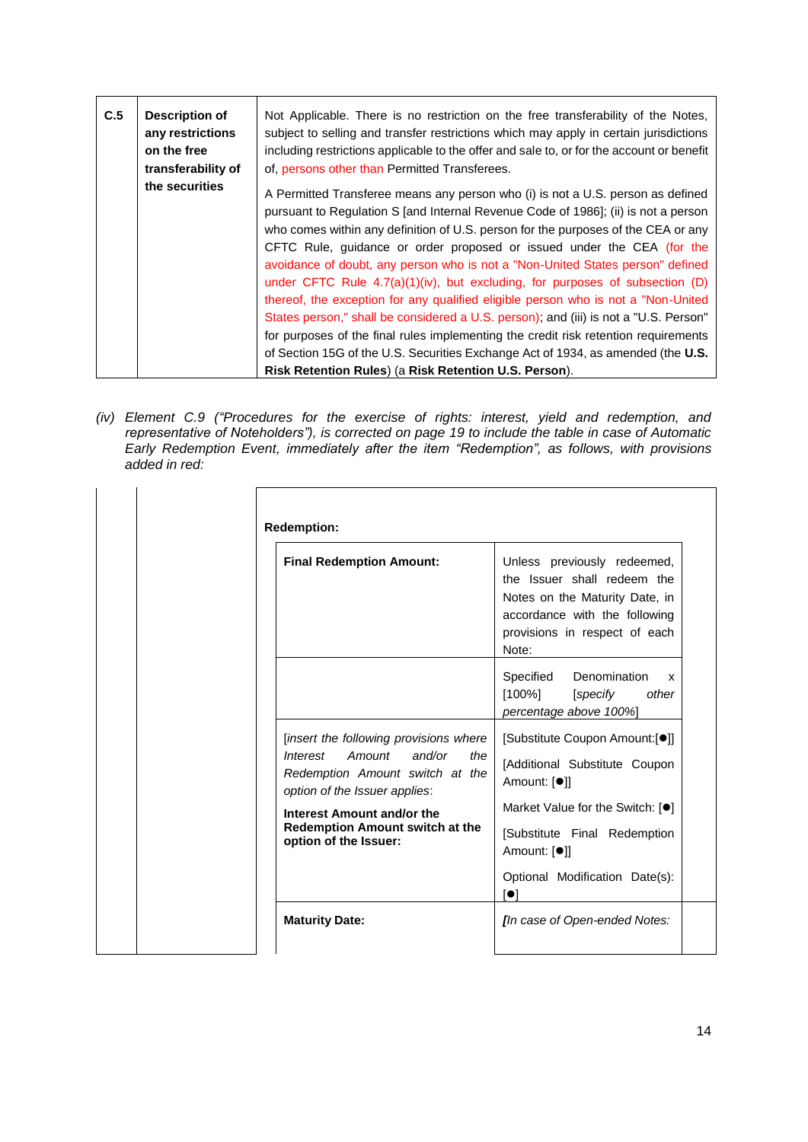| C.5 | Description of<br>any restrictions<br>on the free<br>transferability of | Not Applicable. There is no restriction on the free transferability of the Notes,<br>subject to selling and transfer restrictions which may apply in certain jurisdictions<br>including restrictions applicable to the offer and sale to, or for the account or benefit<br>of, persons other than Permitted Transferees.                                                                                                                                                                                                                                                                                                                                                                                                                                                                                                                                                                                                    |
|-----|-------------------------------------------------------------------------|-----------------------------------------------------------------------------------------------------------------------------------------------------------------------------------------------------------------------------------------------------------------------------------------------------------------------------------------------------------------------------------------------------------------------------------------------------------------------------------------------------------------------------------------------------------------------------------------------------------------------------------------------------------------------------------------------------------------------------------------------------------------------------------------------------------------------------------------------------------------------------------------------------------------------------|
|     | the securities                                                          | A Permitted Transferee means any person who (i) is not a U.S. person as defined<br>pursuant to Regulation S [and Internal Revenue Code of 1986]; (ii) is not a person<br>who comes within any definition of U.S. person for the purposes of the CEA or any<br>CFTC Rule, quidance or order proposed or issued under the CEA (for the<br>avoidance of doubt, any person who is not a "Non-United States person" defined<br>under CFTC Rule $4.7(a)(1)(iv)$ , but excluding, for purposes of subsection (D)<br>thereof, the exception for any qualified eligible person who is not a "Non-United"<br>States person," shall be considered a U.S. person); and (iii) is not a "U.S. Person"<br>for purposes of the final rules implementing the credit risk retention requirements<br>of Section 15G of the U.S. Securities Exchange Act of 1934, as amended (the U.S.<br>Risk Retention Rules) (a Risk Retention U.S. Person). |

*(iv) Element C.9 ("Procedures for the exercise of rights: interest, yield and redemption, and representative of Noteholders"), is corrected on page 19 to include the table in case of Automatic Early Redemption Event, immediately after the item "Redemption", as follows, with provisions added in red:*

| <b>Final Redemption Amount:</b>                                                                                                                                                                                                             | Unless previously redeemed,<br>the Issuer shall redeem the<br>Notes on the Maturity Date, in<br>accordance with the following<br>provisions in respect of each<br>Note:                                                                          |
|---------------------------------------------------------------------------------------------------------------------------------------------------------------------------------------------------------------------------------------------|--------------------------------------------------------------------------------------------------------------------------------------------------------------------------------------------------------------------------------------------------|
|                                                                                                                                                                                                                                             | Specified<br>Denomination<br>x<br>$[100\%]$<br>[specify]<br>other<br>percentage above 100%]                                                                                                                                                      |
| [insert the following provisions where<br>and/or<br>Interest<br>Amount<br>the<br>Redemption Amount switch at the<br>option of the Issuer applies:<br>Interest Amount and/or the<br>Redemption Amount switch at the<br>option of the Issuer: | [Substitute Coupon Amount:[●]]<br>[Additional Substitute Coupon<br>Amount: [ <sup>●</sup> ]]<br>Market Value for the Switch: [ $\bullet$ ]<br>[Substitute Final Redemption<br>Amount: [ <sup>●</sup> ]]<br>Optional Modification Date(s):<br>[0] |
| <b>Maturity Date:</b>                                                                                                                                                                                                                       | [In case of Open-ended Notes:                                                                                                                                                                                                                    |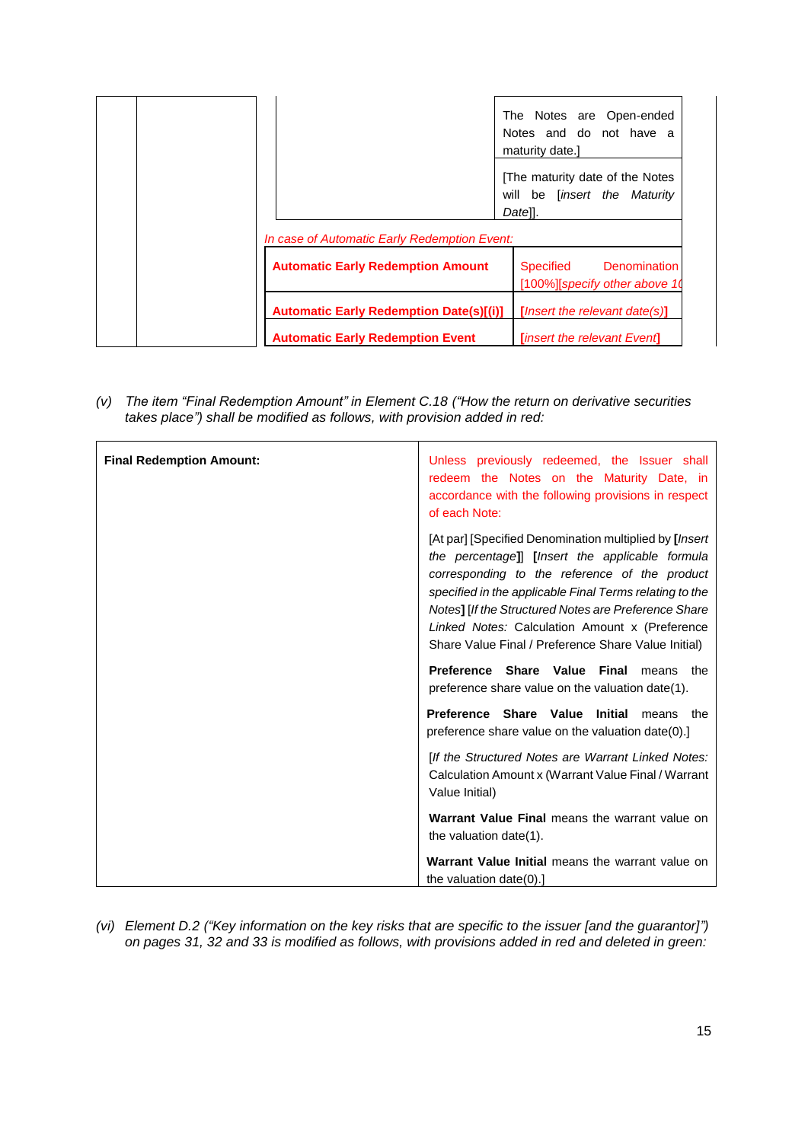|                                                                                          | The Notes are Open-ended<br>Notes and do not have a<br>maturity date.]          |
|------------------------------------------------------------------------------------------|---------------------------------------------------------------------------------|
|                                                                                          | The maturity date of the Notes<br>will be [insert the Maturity<br>Datell.       |
| In case of Automatic Early Redemption Event:<br><b>Automatic Early Redemption Amount</b> | <b>Denomination</b><br>Specified<br>[100%][specify other above 10               |
|                                                                                          | <b>Automatic Early Redemption Date(s)[(i)]</b><br>[Insert the relevant date(s)] |

*(v) The item "Final Redemption Amount" in Element C.18 ("How the return on derivative securities takes place") shall be modified as follows, with provision added in red:*

| <b>Final Redemption Amount:</b> | Unless previously redeemed, the Issuer shall<br>redeem the Notes on the Maturity Date, in<br>accordance with the following provisions in respect<br>of each Note:                                                                                                                                                                                                                       |
|---------------------------------|-----------------------------------------------------------------------------------------------------------------------------------------------------------------------------------------------------------------------------------------------------------------------------------------------------------------------------------------------------------------------------------------|
|                                 | [At par] [Specified Denomination multiplied by [Insert]<br>the percentage]] [Insert the applicable formula<br>corresponding to the reference of the product<br>specified in the applicable Final Terms relating to the<br>Notes] [If the Structured Notes are Preference Share<br>Linked Notes: Calculation Amount x (Preference<br>Share Value Final / Preference Share Value Initial) |
|                                 | Preference Share Value Final<br>means the<br>preference share value on the valuation date(1).                                                                                                                                                                                                                                                                                           |
|                                 | Preference Share Value Initial<br>means the<br>preference share value on the valuation date(0).                                                                                                                                                                                                                                                                                         |
|                                 | [If the Structured Notes are Warrant Linked Notes:<br>Calculation Amount x (Warrant Value Final / Warrant<br>Value Initial)                                                                                                                                                                                                                                                             |
|                                 | Warrant Value Final means the warrant value on<br>the valuation date(1).                                                                                                                                                                                                                                                                                                                |
|                                 | Warrant Value Initial means the warrant value on<br>the valuation $date(0).1$                                                                                                                                                                                                                                                                                                           |

*(vi) Element D.2 ("Key information on the key risks that are specific to the issuer [and the guarantor]") on pages 31, 32 and 33 is modified as follows, with provisions added in red and deleted in green:*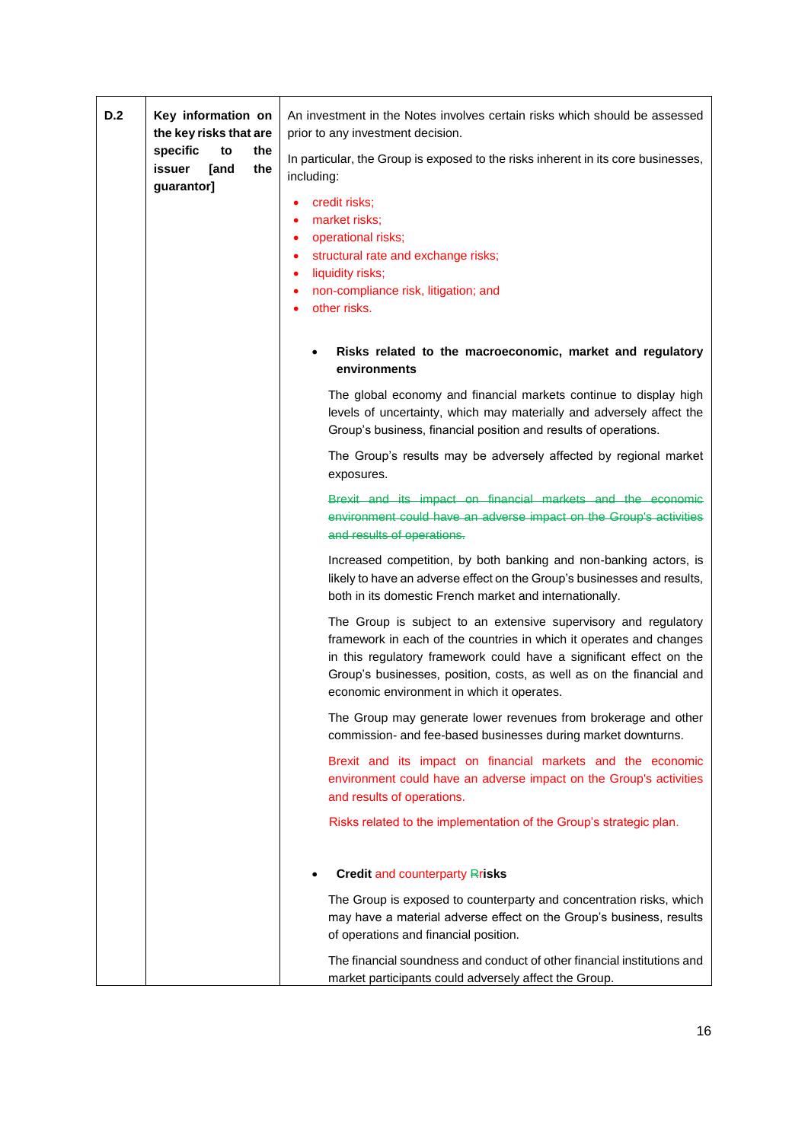| D.2 | Key information on<br>the key risks that are<br>specific<br>the<br>to<br>issuer<br>the<br><b>[and</b><br>guarantor] | An investment in the Notes involves certain risks which should be assessed<br>prior to any investment decision.<br>In particular, the Group is exposed to the risks inherent in its core businesses,<br>including:<br>credit risks;<br>٠<br>market risks;<br>٠<br>operational risks;<br>٠<br>structural rate and exchange risks;<br>٠<br>liquidity risks;<br>$\bullet$<br>non-compliance risk, litigation; and<br>$\bullet$<br>other risks.<br>$\bullet$ |
|-----|---------------------------------------------------------------------------------------------------------------------|----------------------------------------------------------------------------------------------------------------------------------------------------------------------------------------------------------------------------------------------------------------------------------------------------------------------------------------------------------------------------------------------------------------------------------------------------------|
|     |                                                                                                                     | Risks related to the macroeconomic, market and regulatory<br>environments                                                                                                                                                                                                                                                                                                                                                                                |
|     |                                                                                                                     | The global economy and financial markets continue to display high<br>levels of uncertainty, which may materially and adversely affect the<br>Group's business, financial position and results of operations.                                                                                                                                                                                                                                             |
|     |                                                                                                                     | The Group's results may be adversely affected by regional market<br>exposures.                                                                                                                                                                                                                                                                                                                                                                           |
|     |                                                                                                                     | Brexit and its impact on financial markets and the economic<br>environment could have an adverse impact on the Group's activities<br>and results of operations.                                                                                                                                                                                                                                                                                          |
|     |                                                                                                                     | Increased competition, by both banking and non-banking actors, is<br>likely to have an adverse effect on the Group's businesses and results,<br>both in its domestic French market and internationally.                                                                                                                                                                                                                                                  |
|     |                                                                                                                     | The Group is subject to an extensive supervisory and regulatory<br>framework in each of the countries in which it operates and changes<br>in this regulatory framework could have a significant effect on the<br>Group's businesses, position, costs, as well as on the financial and<br>economic environment in which it operates.                                                                                                                      |
|     |                                                                                                                     | The Group may generate lower revenues from brokerage and other<br>commission- and fee-based businesses during market downturns.                                                                                                                                                                                                                                                                                                                          |
|     |                                                                                                                     | Brexit and its impact on financial markets and the economic<br>environment could have an adverse impact on the Group's activities<br>and results of operations.                                                                                                                                                                                                                                                                                          |
|     |                                                                                                                     | Risks related to the implementation of the Group's strategic plan.                                                                                                                                                                                                                                                                                                                                                                                       |
|     |                                                                                                                     | <b>Credit and counterparty Rrisks</b>                                                                                                                                                                                                                                                                                                                                                                                                                    |
|     |                                                                                                                     | The Group is exposed to counterparty and concentration risks, which<br>may have a material adverse effect on the Group's business, results<br>of operations and financial position.                                                                                                                                                                                                                                                                      |
|     |                                                                                                                     | The financial soundness and conduct of other financial institutions and<br>market participants could adversely affect the Group.                                                                                                                                                                                                                                                                                                                         |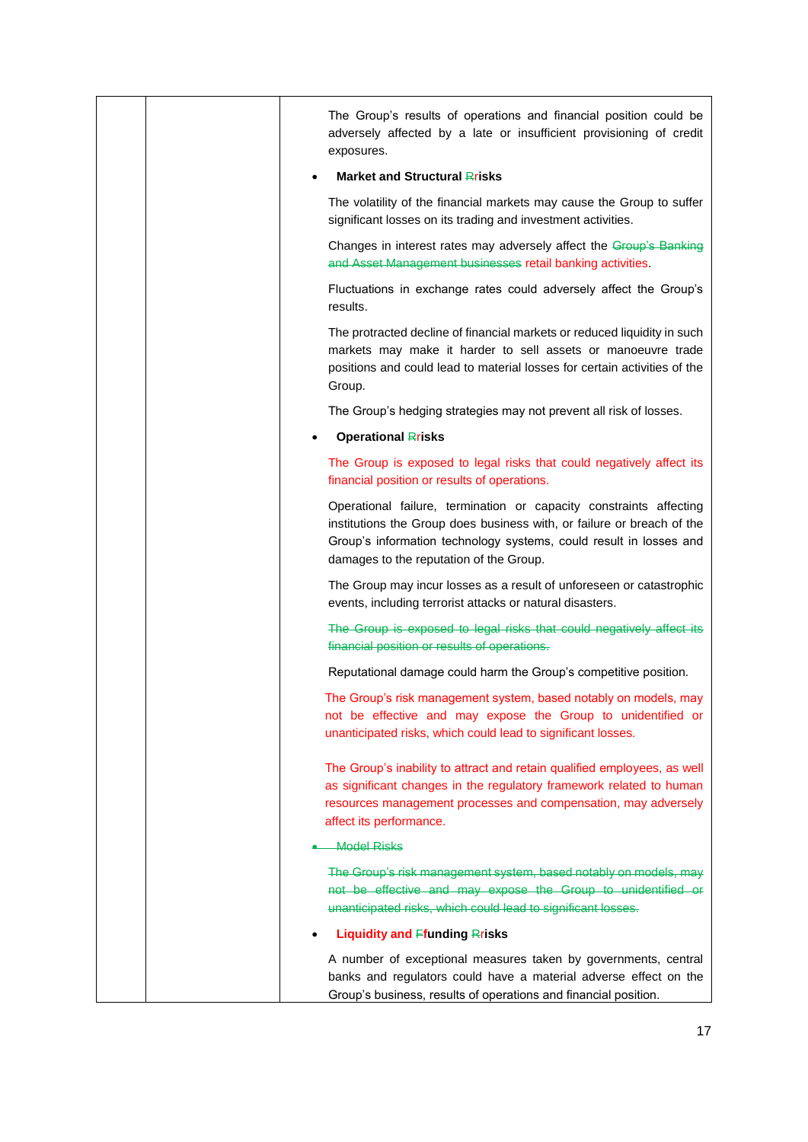|  | The Group's results of operations and financial position could be<br>adversely affected by a late or insufficient provisioning of credit<br>exposures.                                                                                                        |
|--|---------------------------------------------------------------------------------------------------------------------------------------------------------------------------------------------------------------------------------------------------------------|
|  | <b>Market and Structural Rrisks</b>                                                                                                                                                                                                                           |
|  | The volatility of the financial markets may cause the Group to suffer<br>significant losses on its trading and investment activities.                                                                                                                         |
|  | Changes in interest rates may adversely affect the Group's Banking<br>and Asset Management businesses retail banking activities.                                                                                                                              |
|  | Fluctuations in exchange rates could adversely affect the Group's<br>results.                                                                                                                                                                                 |
|  | The protracted decline of financial markets or reduced liquidity in such<br>markets may make it harder to sell assets or manoeuvre trade<br>positions and could lead to material losses for certain activities of the<br>Group.                               |
|  | The Group's hedging strategies may not prevent all risk of losses.                                                                                                                                                                                            |
|  | <b>Operational Rrisks</b>                                                                                                                                                                                                                                     |
|  | The Group is exposed to legal risks that could negatively affect its<br>financial position or results of operations.                                                                                                                                          |
|  | Operational failure, termination or capacity constraints affecting<br>institutions the Group does business with, or failure or breach of the<br>Group's information technology systems, could result in losses and<br>damages to the reputation of the Group. |
|  | The Group may incur losses as a result of unforeseen or catastrophic<br>events, including terrorist attacks or natural disasters.                                                                                                                             |
|  | The Group is exposed to legal risks that could negatively affect its<br>financial position or results of operations.                                                                                                                                          |
|  | Reputational damage could harm the Group's competitive position.                                                                                                                                                                                              |
|  | The Group's risk management system, based notably on models, may<br>not be effective and may expose the Group to unidentified or<br>unanticipated risks, which could lead to significant losses.                                                              |
|  | The Group's inability to attract and retain qualified employees, as well<br>as significant changes in the regulatory framework related to human<br>resources management processes and compensation, may adversely<br>affect its performance.                  |
|  | <b>Model Risks</b>                                                                                                                                                                                                                                            |
|  | The Group's risk management system, based notably on models, may<br>not be effective and may expose the Group to unidentified or<br>unanticipated risks, which could lead to significant losses.                                                              |
|  | Liquidity and Ffunding Rrisks                                                                                                                                                                                                                                 |
|  | A number of exceptional measures taken by governments, central                                                                                                                                                                                                |
|  | banks and regulators could have a material adverse effect on the<br>Group's business, results of operations and financial position.                                                                                                                           |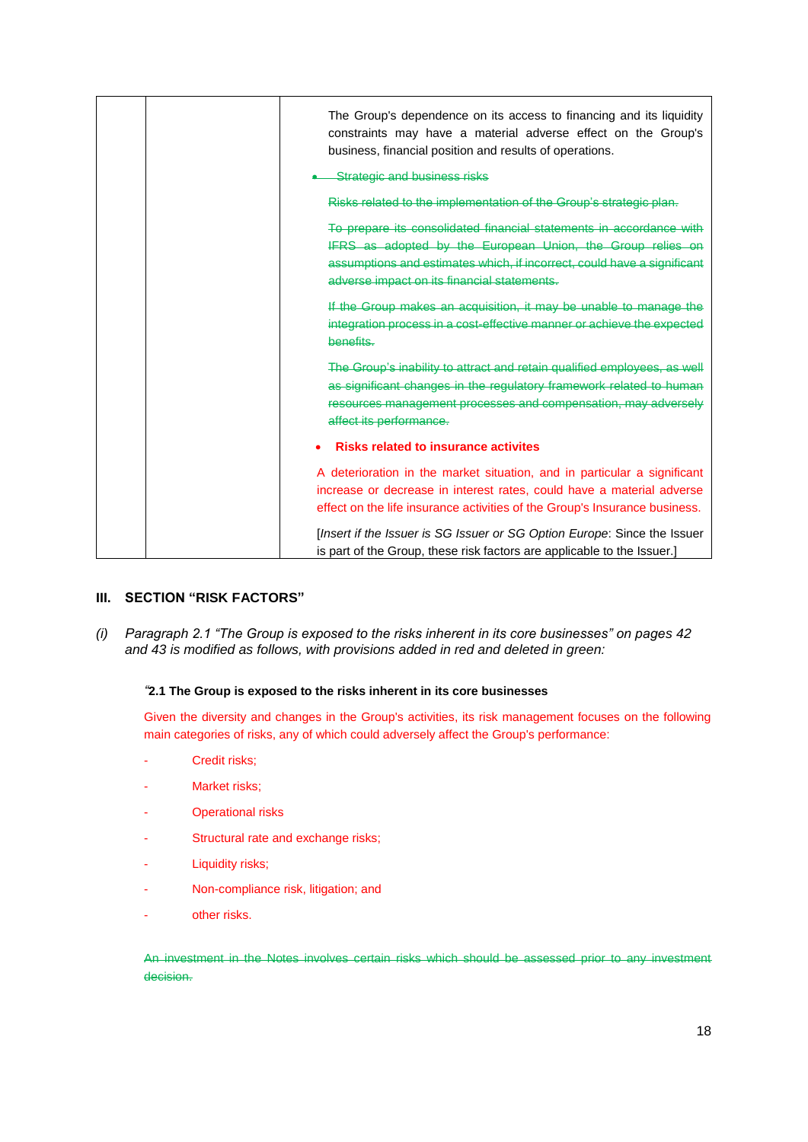| The Group's dependence on its access to financing and its liquidity<br>constraints may have a material adverse effect on the Group's<br>business, financial position and results of operations.<br><b>Strategic and business risks</b>                      |  |
|-------------------------------------------------------------------------------------------------------------------------------------------------------------------------------------------------------------------------------------------------------------|--|
| Risks related to the implementation of the Group's strategic plan.                                                                                                                                                                                          |  |
| To prepare its consolidated financial statements in accordance with<br>IFRS as adopted by the European Union, the Group relies on<br>assumptions and estimates which, if incorrect, could have a significant<br>adverse impact on its financial statements. |  |
| If the Group makes an acquisition, it may be unable to manage the<br>integration process in a cost-effective manner or achieve the expected<br>benefits.                                                                                                    |  |
| The Group's inability to attract and retain qualified employees, as well<br>as significant changes in the regulatory framework related to human<br>resources management processes and compensation, may adversely<br>affect its performance.                |  |
| <b>Risks related to insurance activites</b>                                                                                                                                                                                                                 |  |
| A deterioration in the market situation, and in particular a significant<br>increase or decrease in interest rates, could have a material adverse<br>effect on the life insurance activities of the Group's Insurance business.                             |  |
| [Insert if the Issuer is SG Issuer or SG Option Europe: Since the Issuer<br>is part of the Group, these risk factors are applicable to the Issuer.]                                                                                                         |  |

# **III. SECTION "RISK FACTORS"**

*(i) Paragraph 2.1 "The Group is exposed to the risks inherent in its core businesses" on pages 42 and 43 is modified as follows, with provisions added in red and deleted in green:*

# *"***2.1 The Group is exposed to the risks inherent in its core businesses**

Given the diversity and changes in the Group's activities, its risk management focuses on the following main categories of risks, any of which could adversely affect the Group's performance:

- Credit risks;
- Market risks;
- Operational risks
- Structural rate and exchange risks;
- Liquidity risks;
- Non-compliance risk, litigation; and
- other risks.

An investment in the Notes involves certain risks which should be assessed prior to any investment decision.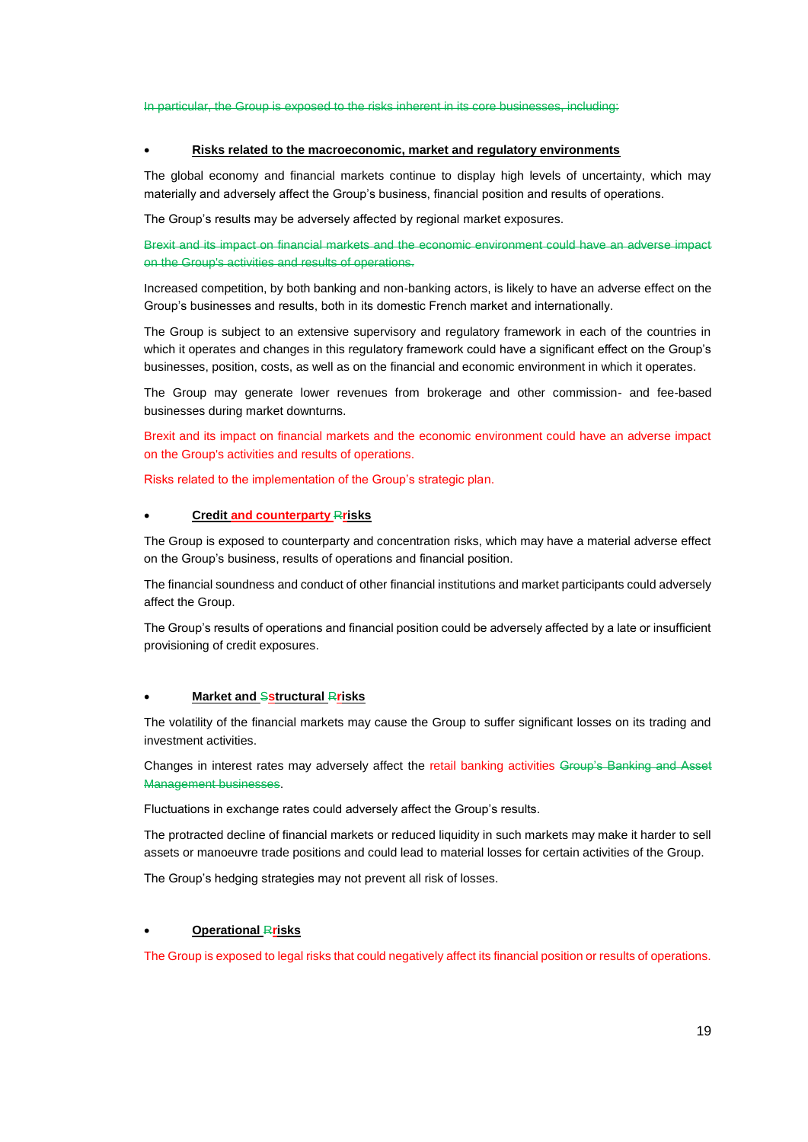In particular, the Group is exposed to the risks inherent in its core businesses, including:

#### • **Risks related to the macroeconomic, market and regulatory environments**

The global economy and financial markets continue to display high levels of uncertainty, which may materially and adversely affect the Group's business, financial position and results of operations.

The Group's results may be adversely affected by regional market exposures.

Brexit and its impact on financial markets and the economic environment could have an adverse impact on the Group's activities and results of operations.

Increased competition, by both banking and non-banking actors, is likely to have an adverse effect on the Group's businesses and results, both in its domestic French market and internationally.

The Group is subject to an extensive supervisory and regulatory framework in each of the countries in which it operates and changes in this regulatory framework could have a significant effect on the Group's businesses, position, costs, as well as on the financial and economic environment in which it operates.

The Group may generate lower revenues from brokerage and other commission- and fee-based businesses during market downturns.

Brexit and its impact on financial markets and the economic environment could have an adverse impact on the Group's activities and results of operations.

Risks related to the implementation of the Group's strategic plan.

#### • **Credit and counterparty** R**risks**

The Group is exposed to counterparty and concentration risks, which may have a material adverse effect on the Group's business, results of operations and financial position.

The financial soundness and conduct of other financial institutions and market participants could adversely affect the Group.

The Group's results of operations and financial position could be adversely affected by a late or insufficient provisioning of credit exposures.

#### • **Market and** S**structural** R**risks**

The volatility of the financial markets may cause the Group to suffer significant losses on its trading and investment activities.

Changes in interest rates may adversely affect the retail banking activities Group's Banking and Asset Management businesses.

Fluctuations in exchange rates could adversely affect the Group's results.

The protracted decline of financial markets or reduced liquidity in such markets may make it harder to sell assets or manoeuvre trade positions and could lead to material losses for certain activities of the Group.

The Group's hedging strategies may not prevent all risk of losses.

#### • **Operational** R**risks**

The Group is exposed to legal risks that could negatively affect its financial position or results of operations.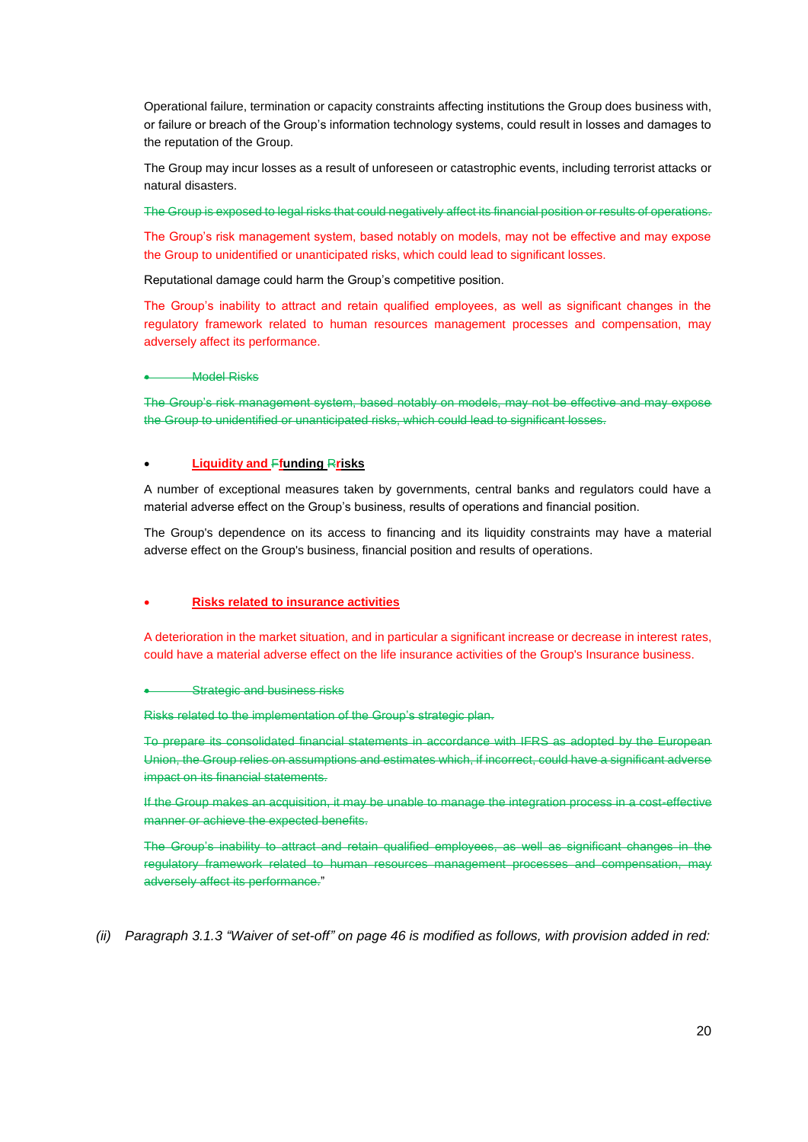Operational failure, termination or capacity constraints affecting institutions the Group does business with, or failure or breach of the Group's information technology systems, could result in losses and damages to the reputation of the Group.

The Group may incur losses as a result of unforeseen or catastrophic events, including terrorist attacks or natural disasters.

The Group is exposed to legal risks that could negatively affect its financial position or results of operations.

The Group's risk management system, based notably on models, may not be effective and may expose the Group to unidentified or unanticipated risks, which could lead to significant losses.

Reputational damage could harm the Group's competitive position.

The Group's inability to attract and retain qualified employees, as well as significant changes in the regulatory framework related to human resources management processes and compensation, may adversely affect its performance.

#### **Model Risks**

The Group's risk management system, based notably on models, may not be effective and may expose the Group to unidentified or unanticipated risks, which could lead to significant losses.

#### • **Liquidity and** F**funding** R**risks**

A number of exceptional measures taken by governments, central banks and regulators could have a material adverse effect on the Group's business, results of operations and financial position.

The Group's dependence on its access to financing and its liquidity constraints may have a material adverse effect on the Group's business, financial position and results of operations.

## • **Risks related to insurance activities**

A deterioration in the market situation, and in particular a significant increase or decrease in interest rates, could have a material adverse effect on the life insurance activities of the Group's Insurance business.

#### **Strategic and business risks**

Risks related to the implementation of the Group's strategic plan.

To prepare its consolidated financial statements in accordance with IFRS as adopted by the European Union, the Group relies on assumptions and estimates which, if incorrect, could have a significant adverse impact on its financial statements.

If the Group makes an acquisition, it may be unable to manage the integration process in a cost-effective manner or achieve the expected benefits.

The Group's inability to attract and retain qualified employees, as well as significant changes in the regulatory framework related to human resources management processes and compensation, may adversely affect its performance."

*(ii) Paragraph 3.1.3 "Waiver of set-off" on page 46 is modified as follows, with provision added in red:*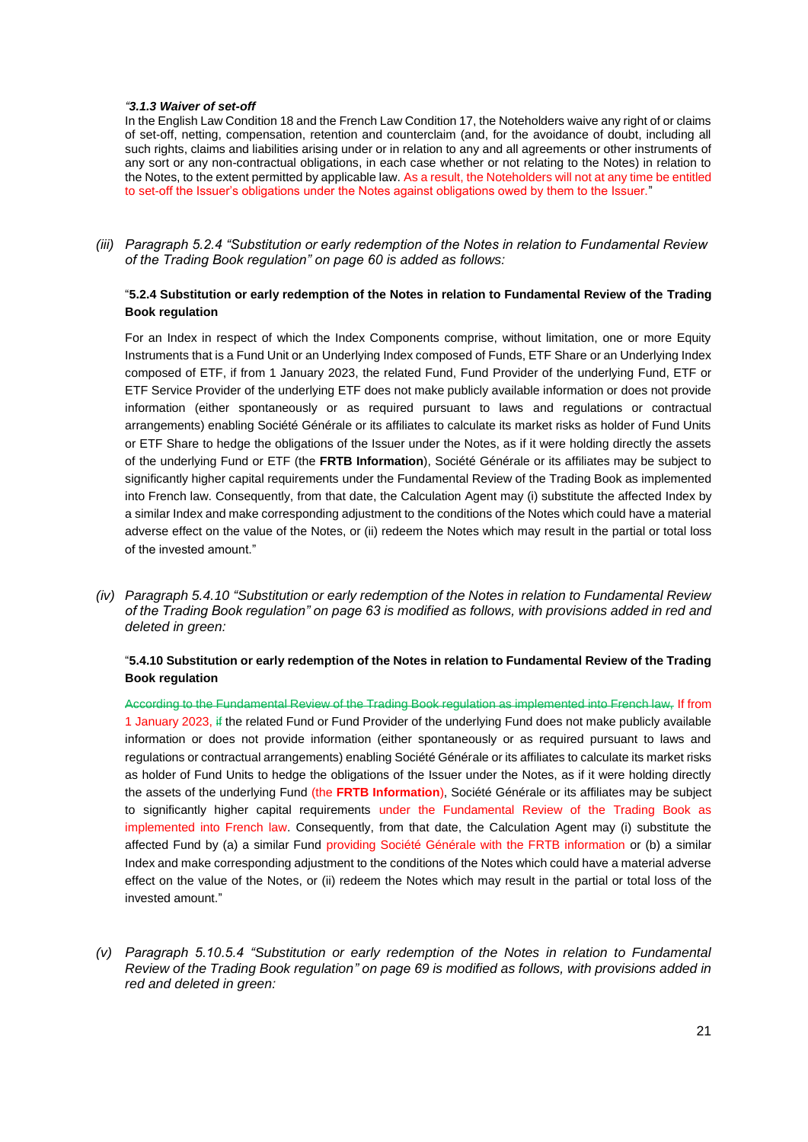#### *"3.1.3 Waiver of set-off*

In the English Law Condition 18 and the French Law Condition 17, the Noteholders waive any right of or claims of set-off, netting, compensation, retention and counterclaim (and, for the avoidance of doubt, including all such rights, claims and liabilities arising under or in relation to any and all agreements or other instruments of any sort or any non-contractual obligations, in each case whether or not relating to the Notes) in relation to the Notes, to the extent permitted by applicable law. As a result, the Noteholders will not at any time be entitled to set-off the Issuer's obligations under the Notes against obligations owed by them to the Issuer."

*(iii) Paragraph 5.2.4 "Substitution or early redemption of the Notes in relation to Fundamental Review of the Trading Book regulation" on page 60 is added as follows:*

## "**5.2.4 Substitution or early redemption of the Notes in relation to Fundamental Review of the Trading Book regulation**

For an Index in respect of which the Index Components comprise, without limitation, one or more Equity Instruments that is a Fund Unit or an Underlying Index composed of Funds, ETF Share or an Underlying Index composed of ETF, if from 1 January 2023, the related Fund, Fund Provider of the underlying Fund, ETF or ETF Service Provider of the underlying ETF does not make publicly available information or does not provide information (either spontaneously or as required pursuant to laws and regulations or contractual arrangements) enabling Société Générale or its affiliates to calculate its market risks as holder of Fund Units or ETF Share to hedge the obligations of the Issuer under the Notes, as if it were holding directly the assets of the underlying Fund or ETF (the **FRTB Information**), Société Générale or its affiliates may be subject to significantly higher capital requirements under the Fundamental Review of the Trading Book as implemented into French law. Consequently, from that date, the Calculation Agent may (i) substitute the affected Index by a similar Index and make corresponding adjustment to the conditions of the Notes which could have a material adverse effect on the value of the Notes, or (ii) redeem the Notes which may result in the partial or total loss of the invested amount."

*(iv) Paragraph 5.4.10 "Substitution or early redemption of the Notes in relation to Fundamental Review of the Trading Book regulation" on page 63 is modified as follows, with provisions added in red and deleted in green:*

## "**5.4.10 Substitution or early redemption of the Notes in relation to Fundamental Review of the Trading Book regulation**

According to the Fundamental Review of the Trading Book regulation as implemented into French law, If from 1 January 2023, if the related Fund or Fund Provider of the underlying Fund does not make publicly available information or does not provide information (either spontaneously or as required pursuant to laws and regulations or contractual arrangements) enabling Société Générale or its affiliates to calculate its market risks as holder of Fund Units to hedge the obligations of the Issuer under the Notes, as if it were holding directly the assets of the underlying Fund (the **FRTB Information**), Société Générale or its affiliates may be subject to significantly higher capital requirements under the Fundamental Review of the Trading Book as implemented into French law. Consequently, from that date, the Calculation Agent may (i) substitute the affected Fund by (a) a similar Fund providing Société Générale with the FRTB information or (b) a similar Index and make corresponding adjustment to the conditions of the Notes which could have a material adverse effect on the value of the Notes, or (ii) redeem the Notes which may result in the partial or total loss of the invested amount."

*(v) Paragraph 5.10.5.4 "Substitution or early redemption of the Notes in relation to Fundamental Review of the Trading Book regulation" on page 69 is modified as follows, with provisions added in red and deleted in green:*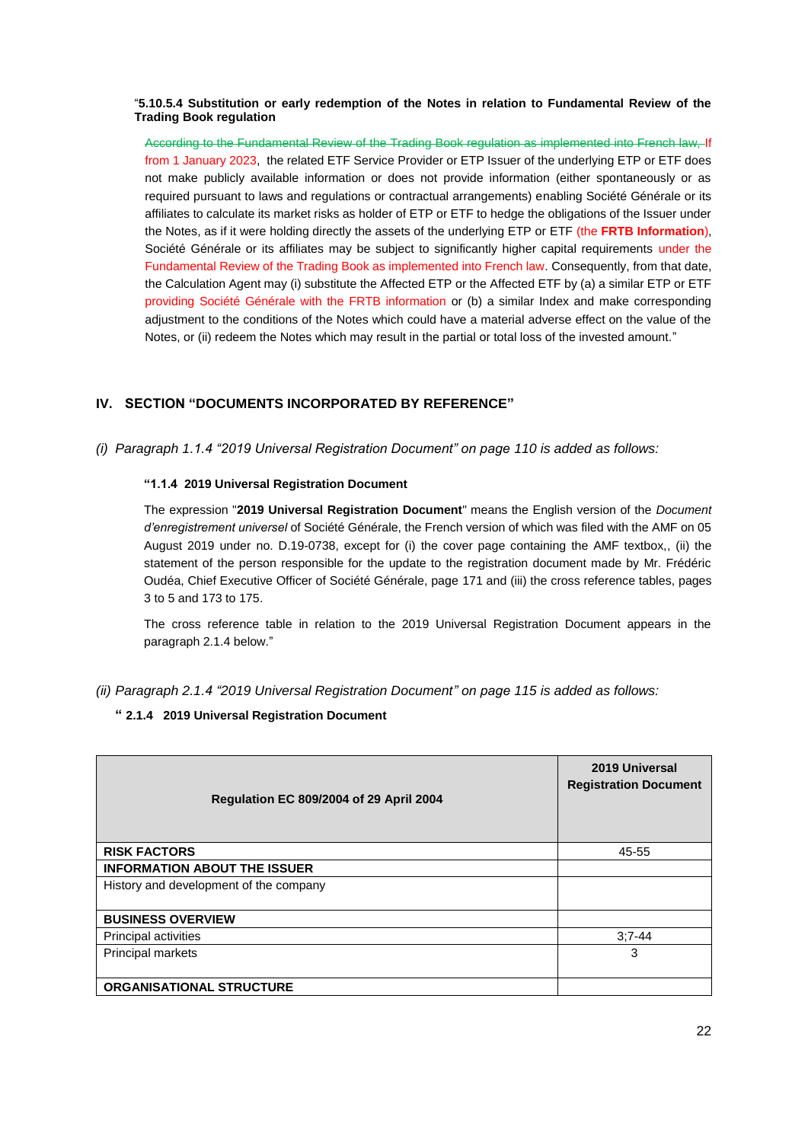### "**5.10.5.4 Substitution or early redemption of the Notes in relation to Fundamental Review of the Trading Book regulation**

According to the Fundamental Review of the Trading Book regulation as implemented into French law, If from 1 January 2023, the related ETF Service Provider or ETP Issuer of the underlying ETP or ETF does not make publicly available information or does not provide information (either spontaneously or as required pursuant to laws and regulations or contractual arrangements) enabling Société Générale or its affiliates to calculate its market risks as holder of ETP or ETF to hedge the obligations of the Issuer under the Notes, as if it were holding directly the assets of the underlying ETP or ETF (the **FRTB Information**), Société Générale or its affiliates may be subject to significantly higher capital requirements under the Fundamental Review of the Trading Book as implemented into French law. Consequently, from that date, the Calculation Agent may (i) substitute the Affected ETP or the Affected ETF by (a) a similar ETP or ETF providing Société Générale with the FRTB information or (b) a similar Index and make corresponding adjustment to the conditions of the Notes which could have a material adverse effect on the value of the Notes, or (ii) redeem the Notes which may result in the partial or total loss of the invested amount."

# **IV. SECTION "DOCUMENTS INCORPORATED BY REFERENCE"**

*(i) Paragraph 1.1.4 "2019 Universal Registration Document" on page 110 is added as follows:*

## **"1.1.4 2019 Universal Registration Document**

The expression "**2019 Universal Registration Document**" means the English version of the *Document d'enregistrement universel* of Société Générale, the French version of which was filed with the AMF on 05 August 2019 under no. D.19-0738, except for (i) the cover page containing the AMF textbox,, (ii) the statement of the person responsible for the update to the registration document made by Mr. Frédéric Oudéa, Chief Executive Officer of Société Générale, page 171 and (iii) the cross reference tables, pages 3 to 5 and 173 to 175.

The cross reference table in relation to the 2019 Universal Registration Document appears in the paragraph 2.1.4 below."

*(ii) Paragraph 2.1.4 "2019 Universal Registration Document" on page 115 is added as follows:*

## **" 2.1.4 2019 Universal Registration Document**

| Regulation EC 809/2004 of 29 April 2004 | 2019 Universal<br><b>Registration Document</b> |
|-----------------------------------------|------------------------------------------------|
| <b>RISK FACTORS</b>                     | 45-55                                          |
| <b>INFORMATION ABOUT THE ISSUER</b>     |                                                |
| History and development of the company  |                                                |
| <b>BUSINESS OVERVIEW</b>                |                                                |
| Principal activities                    | $3:7 - 44$                                     |
| Principal markets                       | 3                                              |
| <b>ORGANISATIONAL STRUCTURE</b>         |                                                |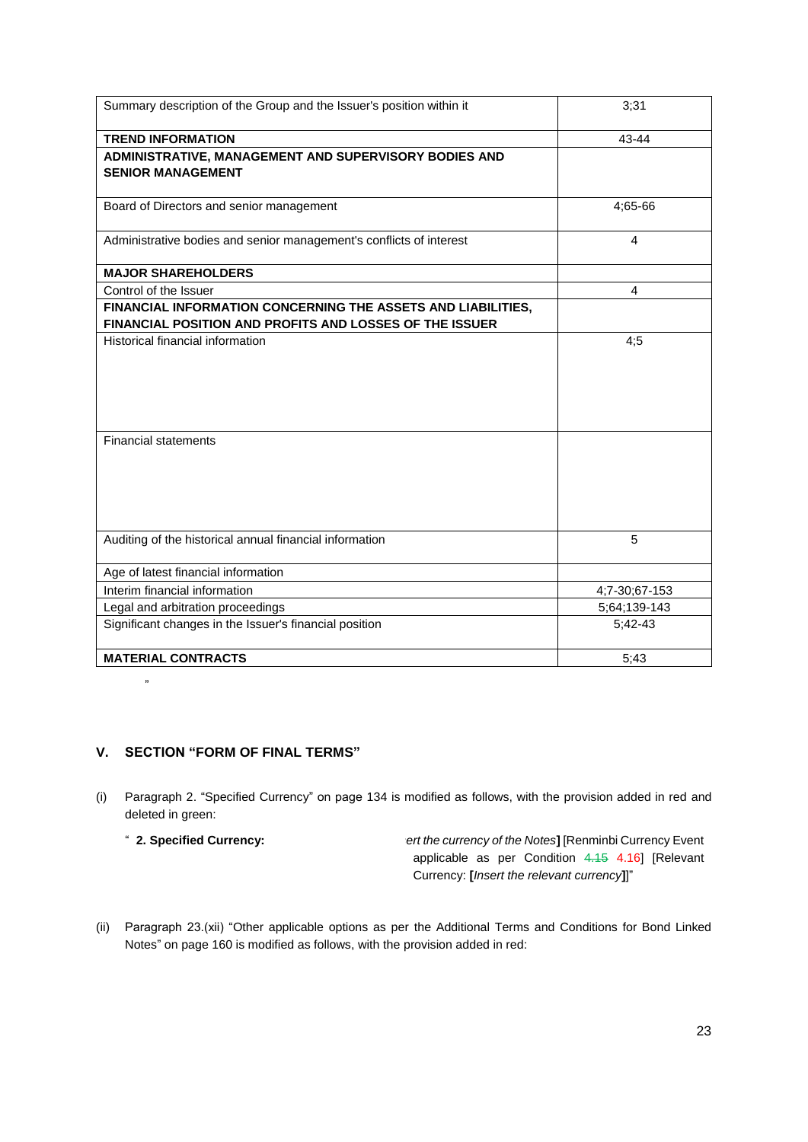| Summary description of the Group and the Issuer's position within it                                                    | 3;31           |
|-------------------------------------------------------------------------------------------------------------------------|----------------|
| <b>TREND INFORMATION</b>                                                                                                | 43-44          |
| ADMINISTRATIVE, MANAGEMENT AND SUPERVISORY BODIES AND<br><b>SENIOR MANAGEMENT</b>                                       |                |
| Board of Directors and senior management                                                                                | 4;65-66        |
| Administrative bodies and senior management's conflicts of interest                                                     | $\overline{4}$ |
| <b>MAJOR SHAREHOLDERS</b>                                                                                               |                |
| Control of the Issuer                                                                                                   | $\overline{4}$ |
| FINANCIAL INFORMATION CONCERNING THE ASSETS AND LIABILITIES,<br>FINANCIAL POSITION AND PROFITS AND LOSSES OF THE ISSUER |                |
| Historical financial information                                                                                        | 4:5            |
| <b>Financial statements</b>                                                                                             |                |
| Auditing of the historical annual financial information                                                                 | 5              |
| Age of latest financial information                                                                                     |                |
| Interim financial information                                                                                           | 4;7-30;67-153  |
| Legal and arbitration proceedings                                                                                       | 5;64;139-143   |
| Significant changes in the Issuer's financial position                                                                  | $5;42-43$      |
| <b>MATERIAL CONTRACTS</b>                                                                                               | 5;43           |

# **V. SECTION "FORM OF FINAL TERMS"**

- (i) Paragraph 2. "Specified Currency" on page 134 is modified as follows, with the provision added in red and deleted in green:
	-

"

" **2. Specified Currency: [***Insert the currency of the Notes***]** [Renminbi Currency Event applicable as per Condition 4.15 4.16] [Relevant Currency: **[***Insert the relevant currency***]**]"

(ii) Paragraph 23.(xii) "Other applicable options as per the Additional Terms and Conditions for Bond Linked Notes" on page 160 is modified as follows, with the provision added in red: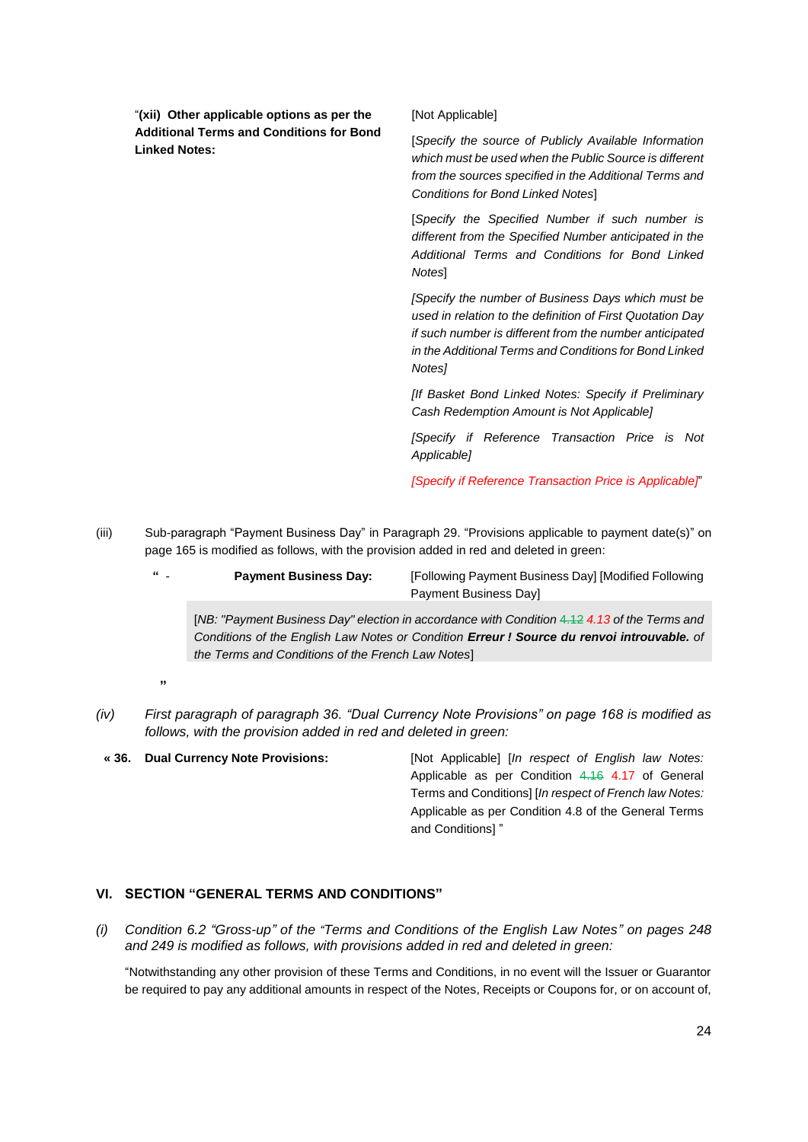"**(xii) Other applicable options as per the Additional Terms and Conditions for Bond Linked Notes:**

[Not Applicable]

[*Specify the source of Publicly Available Information which must be used when the Public Source is different from the sources specified in the Additional Terms and Conditions for Bond Linked Notes*]

[*Specify the Specified Number if such number is different from the Specified Number anticipated in the Additional Terms and Conditions for Bond Linked Notes*]

*[Specify the number of Business Days which must be used in relation to the definition of First Quotation Day if such number is different from the number anticipated in the Additional Terms and Conditions for Bond Linked Notes]*

*[If Basket Bond Linked Notes: Specify if Preliminary Cash Redemption Amount is Not Applicable]*

*[Specify if Reference Transaction Price is Not Applicable]*

*[Specify if Reference Transaction Price is Applicable]*"

- (iii) Sub-paragraph "Payment Business Day" in Paragraph 29. "Provisions applicable to payment date(s)" on page 165 is modified as follows, with the provision added in red and deleted in green:
	- **" Payment Business Day:** [Following Payment Business Day] [Modified Following Payment Business Day]

[*NB: "Payment Business Day" election in accordance with Condition* 4.12 *4.13 of the Terms and Conditions of the English Law Notes or Condition Erreur ! Source du renvoi introuvable. of the Terms and Conditions of the French Law Notes*]

- **1999**
- *(iv) First paragraph of paragraph 36. "Dual Currency Note Provisions" on page 168 is modified as follows, with the provision added in red and deleted in green:*
- **« 36. Dual Currency Note Provisions:** [Not Applicable] [*In respect of English law Notes:* Applicable as per Condition 4.16 4.17 of General Terms and Conditions] [*In respect of French law Notes:* Applicable as per Condition 4.8 of the General Terms and Conditions] "

## **VI. SECTION "GENERAL TERMS AND CONDITIONS"**

*(i) Condition 6.2 "Gross-up" of the "Terms and Conditions of the English Law Notes" on pages 248 and 249 is modified as follows, with provisions added in red and deleted in green:*

"Notwithstanding any other provision of these Terms and Conditions, in no event will the Issuer or Guarantor be required to pay any additional amounts in respect of the Notes, Receipts or Coupons for, or on account of,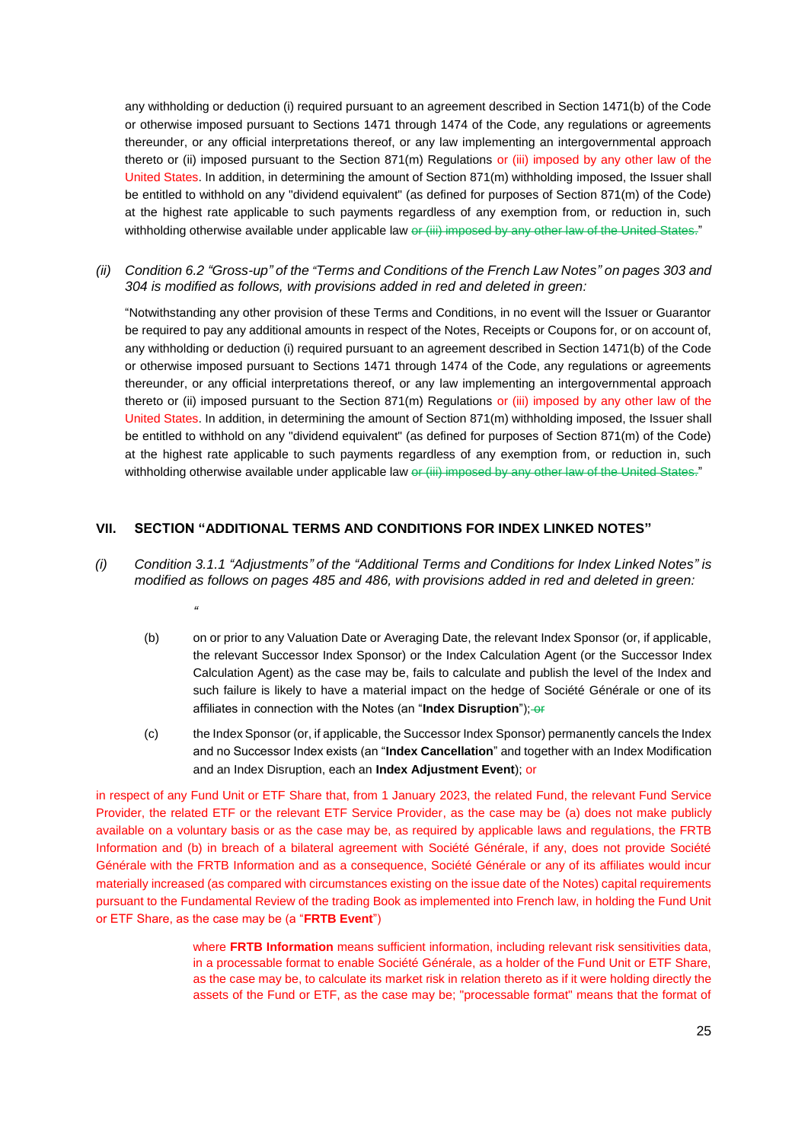any withholding or deduction (i) required pursuant to an agreement described in Section 1471(b) of the Code or otherwise imposed pursuant to Sections 1471 through 1474 of the Code, any regulations or agreements thereunder, or any official interpretations thereof, or any law implementing an intergovernmental approach thereto or (ii) imposed pursuant to the Section 871(m) Regulations or (iii) imposed by any other law of the United States. In addition, in determining the amount of Section 871(m) withholding imposed, the Issuer shall be entitled to withhold on any "dividend equivalent" (as defined for purposes of Section 871(m) of the Code) at the highest rate applicable to such payments regardless of any exemption from, or reduction in, such withholding otherwise available under applicable law or (iii) imposed by any other law of the United States."

*(ii) Condition 6.2 "Gross-up" of the "Terms and Conditions of the French Law Notes" on pages 303 and 304 is modified as follows, with provisions added in red and deleted in green:*

"Notwithstanding any other provision of these Terms and Conditions, in no event will the Issuer or Guarantor be required to pay any additional amounts in respect of the Notes, Receipts or Coupons for, or on account of, any withholding or deduction (i) required pursuant to an agreement described in Section 1471(b) of the Code or otherwise imposed pursuant to Sections 1471 through 1474 of the Code, any regulations or agreements thereunder, or any official interpretations thereof, or any law implementing an intergovernmental approach thereto or (ii) imposed pursuant to the Section 871(m) Regulations or (iii) imposed by any other law of the United States. In addition, in determining the amount of Section 871(m) withholding imposed, the Issuer shall be entitled to withhold on any "dividend equivalent" (as defined for purposes of Section 871(m) of the Code) at the highest rate applicable to such payments regardless of any exemption from, or reduction in, such withholding otherwise available under applicable law or (iii) imposed by any other law of the United States."

## **VII. SECTION "ADDITIONAL TERMS AND CONDITIONS FOR INDEX LINKED NOTES"**

*"*

- *(i) Condition 3.1.1 "Adjustments" of the "Additional Terms and Conditions for Index Linked Notes" is modified as follows on pages 485 and 486, with provisions added in red and deleted in green:*
	- (b) on or prior to any Valuation Date or Averaging Date, the relevant Index Sponsor (or, if applicable, the relevant Successor Index Sponsor) or the Index Calculation Agent (or the Successor Index Calculation Agent) as the case may be, fails to calculate and publish the level of the Index and such failure is likely to have a material impact on the hedge of Société Générale or one of its affiliates in connection with the Notes (an "**Index Disruption**"); or
	- (c) the Index Sponsor (or, if applicable, the Successor Index Sponsor) permanently cancels the Index and no Successor Index exists (an "**Index Cancellation**" and together with an Index Modification and an Index Disruption, each an **Index Adjustment Event**); or

in respect of any Fund Unit or ETF Share that, from 1 January 2023, the related Fund, the relevant Fund Service Provider, the related ETF or the relevant ETF Service Provider, as the case may be (a) does not make publicly available on a voluntary basis or as the case may be, as required by applicable laws and regulations, the FRTB Information and (b) in breach of a bilateral agreement with Société Générale, if any, does not provide Société Générale with the FRTB Information and as a consequence, Société Générale or any of its affiliates would incur materially increased (as compared with circumstances existing on the issue date of the Notes) capital requirements pursuant to the Fundamental Review of the trading Book as implemented into French law, in holding the Fund Unit or ETF Share, as the case may be (a "**FRTB Event**")

> where **FRTB Information** means sufficient information, including relevant risk sensitivities data, in a processable format to enable Société Générale, as a holder of the Fund Unit or ETF Share, as the case may be, to calculate its market risk in relation thereto as if it were holding directly the assets of the Fund or ETF, as the case may be; "processable format" means that the format of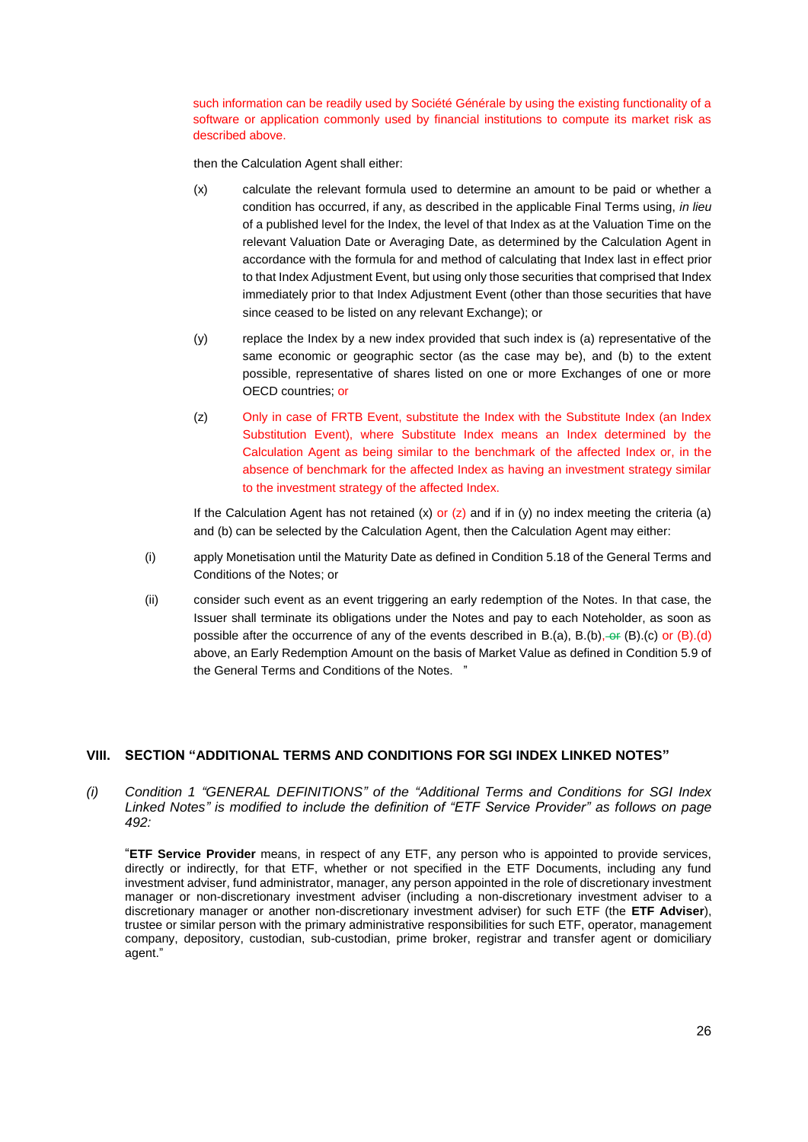such information can be readily used by Société Générale by using the existing functionality of a software or application commonly used by financial institutions to compute its market risk as described above.

then the Calculation Agent shall either:

- (x) calculate the relevant formula used to determine an amount to be paid or whether a condition has occurred, if any, as described in the applicable Final Terms using, *in lieu* of a published level for the Index, the level of that Index as at the Valuation Time on the relevant Valuation Date or Averaging Date, as determined by the Calculation Agent in accordance with the formula for and method of calculating that Index last in effect prior to that Index Adjustment Event, but using only those securities that comprised that Index immediately prior to that Index Adjustment Event (other than those securities that have since ceased to be listed on any relevant Exchange); or
- (y) replace the Index by a new index provided that such index is (a) representative of the same economic or geographic sector (as the case may be), and (b) to the extent possible, representative of shares listed on one or more Exchanges of one or more OECD countries; or
- (z) Only in case of FRTB Event, substitute the Index with the Substitute Index (an Index Substitution Event), where Substitute Index means an Index determined by the Calculation Agent as being similar to the benchmark of the affected Index or, in the absence of benchmark for the affected Index as having an investment strategy similar to the investment strategy of the affected Index.

If the Calculation Agent has not retained  $(x)$  or  $(z)$  and if in  $(y)$  no index meeting the criteria (a) and (b) can be selected by the Calculation Agent, then the Calculation Agent may either:

- (i) apply Monetisation until the Maturity Date as defined in Condition 5.18 of the General Terms and Conditions of the Notes; or
- (ii) consider such event as an event triggering an early redemption of the Notes. In that case, the Issuer shall terminate its obligations under the Notes and pay to each Noteholder, as soon as possible after the occurrence of any of the events described in B.(a), B.(b),  $-4$  (B).(c) or (B).(d) above, an Early Redemption Amount on the basis of Market Value as defined in Condition 5.9 of the General Terms and Conditions of the Notes. "

## **VIII. SECTION "ADDITIONAL TERMS AND CONDITIONS FOR SGI INDEX LINKED NOTES"**

*(i) Condition 1 "GENERAL DEFINITIONS" of the "Additional Terms and Conditions for SGI Index Linked Notes" is modified to include the definition of "ETF Service Provider" as follows on page 492:*

"**ETF Service Provider** means, in respect of any ETF, any person who is appointed to provide services, directly or indirectly, for that ETF, whether or not specified in the ETF Documents, including any fund investment adviser, fund administrator, manager, any person appointed in the role of discretionary investment manager or non-discretionary investment adviser (including a non-discretionary investment adviser to a discretionary manager or another non-discretionary investment adviser) for such ETF (the **ETF Adviser**), trustee or similar person with the primary administrative responsibilities for such ETF, operator, management company, depository, custodian, sub-custodian, prime broker, registrar and transfer agent or domiciliary agent."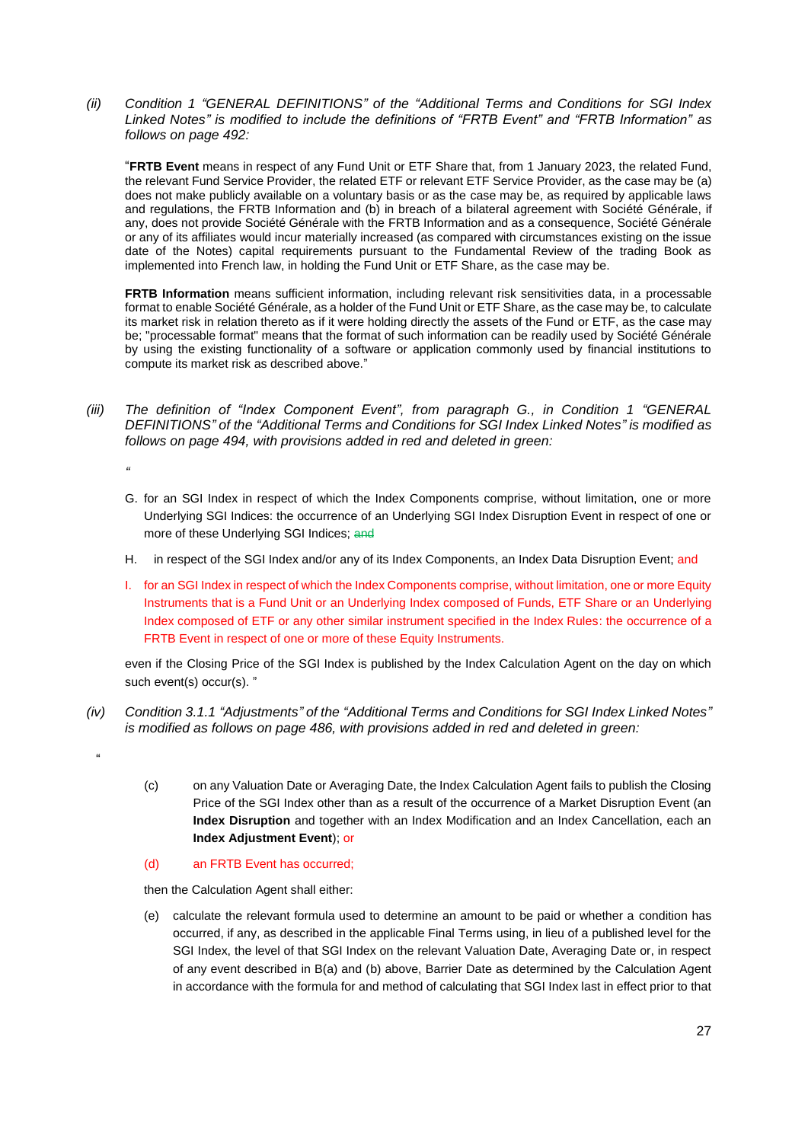*(ii) Condition 1 "GENERAL DEFINITIONS" of the "Additional Terms and Conditions for SGI Index Linked Notes" is modified to include the definitions of "FRTB Event" and "FRTB Information" as follows on page 492:*

"**FRTB Event** means in respect of any Fund Unit or ETF Share that, from 1 January 2023, the related Fund, the relevant Fund Service Provider, the related ETF or relevant ETF Service Provider, as the case may be (a) does not make publicly available on a voluntary basis or as the case may be, as required by applicable laws and regulations, the FRTB Information and (b) in breach of a bilateral agreement with Société Générale, if any, does not provide Société Générale with the FRTB Information and as a consequence, Société Générale or any of its affiliates would incur materially increased (as compared with circumstances existing on the issue date of the Notes) capital requirements pursuant to the Fundamental Review of the trading Book as implemented into French law, in holding the Fund Unit or ETF Share, as the case may be.

**FRTB Information** means sufficient information, including relevant risk sensitivities data, in a processable format to enable Société Générale, as a holder of the Fund Unit or ETF Share, as the case may be, to calculate its market risk in relation thereto as if it were holding directly the assets of the Fund or ETF, as the case may be; "processable format" means that the format of such information can be readily used by Société Générale by using the existing functionality of a software or application commonly used by financial institutions to compute its market risk as described above."

- *(iii) The definition of "Index Component Event", from paragraph G., in Condition 1 "GENERAL DEFINITIONS" of the "Additional Terms and Conditions for SGI Index Linked Notes" is modified as follows on page 494, with provisions added in red and deleted in green:*
	- G. for an SGI Index in respect of which the Index Components comprise, without limitation, one or more Underlying SGI Indices: the occurrence of an Underlying SGI Index Disruption Event in respect of one or more of these Underlying SGI Indices; and
	- H. in respect of the SGI Index and/or any of its Index Components, an Index Data Disruption Event; and
	- I. for an SGI Index in respect of which the Index Components comprise, without limitation, one or more Equity Instruments that is a Fund Unit or an Underlying Index composed of Funds, ETF Share or an Underlying Index composed of ETF or any other similar instrument specified in the Index Rules: the occurrence of a FRTB Event in respect of one or more of these Equity Instruments.

even if the Closing Price of the SGI Index is published by the Index Calculation Agent on the day on which such event(s) occur(s). "

- *(iv) Condition 3.1.1 "Adjustments" of the "Additional Terms and Conditions for SGI Index Linked Notes" is modified as follows on page 486, with provisions added in red and deleted in green:*
	- "

*"*

- (c) on any Valuation Date or Averaging Date, the Index Calculation Agent fails to publish the Closing Price of the SGI Index other than as a result of the occurrence of a Market Disruption Event (an **Index Disruption** and together with an Index Modification and an Index Cancellation, each an **Index Adjustment Event**); or
- (d) an FRTB Event has occurred;

then the Calculation Agent shall either:

(e) calculate the relevant formula used to determine an amount to be paid or whether a condition has occurred, if any, as described in the applicable Final Terms using, in lieu of a published level for the SGI Index, the level of that SGI Index on the relevant Valuation Date, Averaging Date or, in respect of any event described in B(a) and (b) above, Barrier Date as determined by the Calculation Agent in accordance with the formula for and method of calculating that SGI Index last in effect prior to that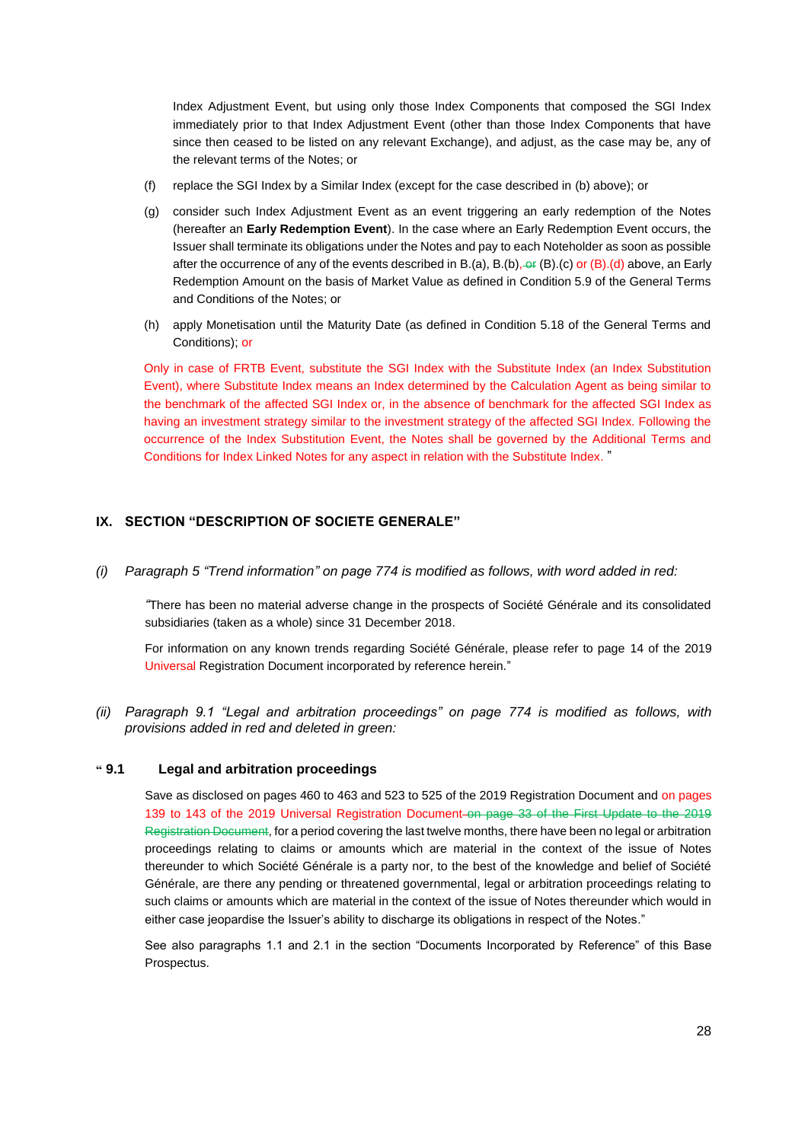Index Adjustment Event, but using only those Index Components that composed the SGI Index immediately prior to that Index Adjustment Event (other than those Index Components that have since then ceased to be listed on any relevant Exchange), and adjust, as the case may be, any of the relevant terms of the Notes; or

- (f) replace the SGI Index by a Similar Index (except for the case described in (b) above); or
- (g) consider such Index Adjustment Event as an event triggering an early redemption of the Notes (hereafter an **Early Redemption Event**). In the case where an Early Redemption Event occurs, the Issuer shall terminate its obligations under the Notes and pay to each Noteholder as soon as possible after the occurrence of any of the events described in B.(a), B.(b),  $\Theta$ r (B).(c) or (B).(d) above, an Early Redemption Amount on the basis of Market Value as defined in Condition 5.9 of the General Terms and Conditions of the Notes; or
- (h) apply Monetisation until the Maturity Date (as defined in Condition 5.18 of the General Terms and Conditions); or

Only in case of FRTB Event, substitute the SGI Index with the Substitute Index (an Index Substitution Event), where Substitute Index means an Index determined by the Calculation Agent as being similar to the benchmark of the affected SGI Index or, in the absence of benchmark for the affected SGI Index as having an investment strategy similar to the investment strategy of the affected SGI Index. Following the occurrence of the Index Substitution Event, the Notes shall be governed by the Additional Terms and Conditions for Index Linked Notes for any aspect in relation with the Substitute Index. "

# **IX. SECTION "DESCRIPTION OF SOCIETE GENERALE"**

*(i) Paragraph 5 "Trend information" on page 774 is modified as follows, with word added in red:* 

*"*There has been no material adverse change in the prospects of Société Générale and its consolidated subsidiaries (taken as a whole) since 31 December 2018.

For information on any known trends regarding Société Générale, please refer to page 14 of the 2019 Universal Registration Document incorporated by reference herein."

*(ii) Paragraph 9.1 "Legal and arbitration proceedings" on page 774 is modified as follows, with provisions added in red and deleted in green:* 

## **" 9.1 Legal and arbitration proceedings**

Save as disclosed on pages 460 to 463 and 523 to 525 of the 2019 Registration Document and on pages 139 to 143 of the 2019 Universal Registration Document on page 33 of the First Update to the 2019 Registration Document, for a period covering the last twelve months, there have been no legal or arbitration proceedings relating to claims or amounts which are material in the context of the issue of Notes thereunder to which Société Générale is a party nor, to the best of the knowledge and belief of Société Générale, are there any pending or threatened governmental, legal or arbitration proceedings relating to such claims or amounts which are material in the context of the issue of Notes thereunder which would in either case jeopardise the Issuer's ability to discharge its obligations in respect of the Notes."

See also paragraphs 1.1 and 2.1 in the section "Documents Incorporated by Reference" of this Base Prospectus.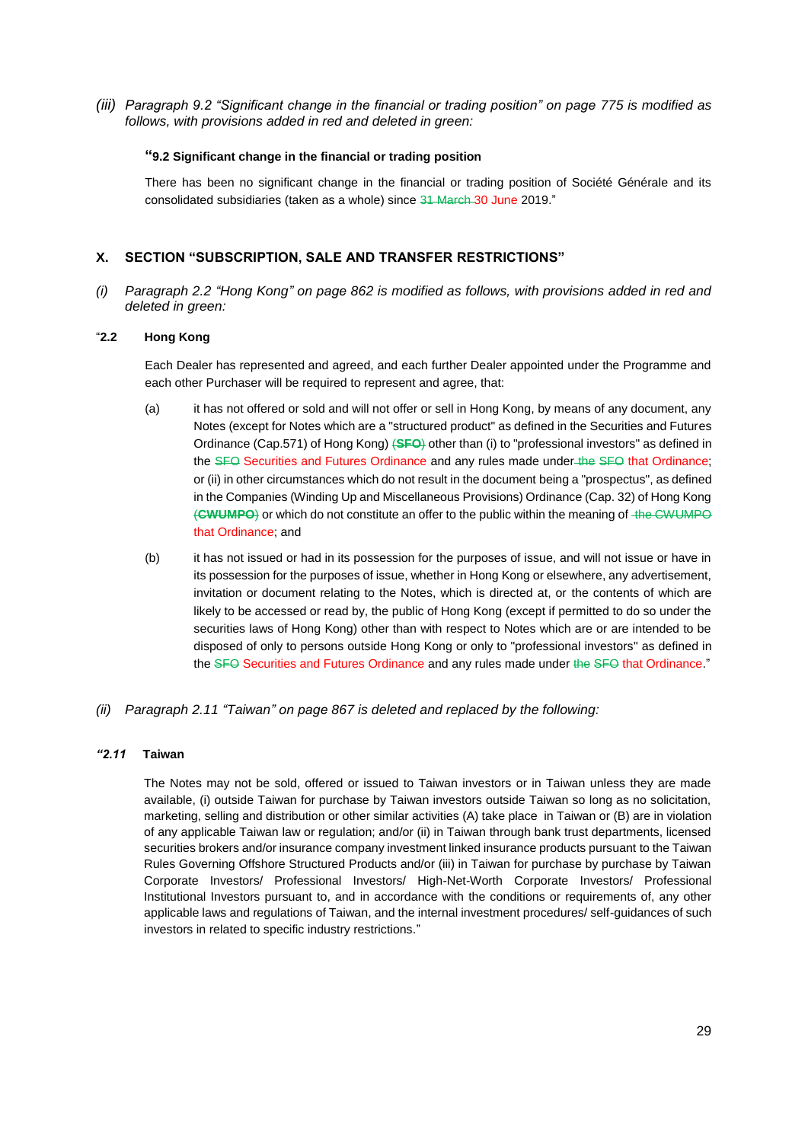*(iii) Paragraph 9.2 "Significant change in the financial or trading position" on page 775 is modified as follows, with provisions added in red and deleted in green:*

#### **"9.2 Significant change in the financial or trading position**

There has been no significant change in the financial or trading position of Société Générale and its consolidated subsidiaries (taken as a whole) since 31 March 30 June 2019."

# **X. SECTION "SUBSCRIPTION, SALE AND TRANSFER RESTRICTIONS"**

*(i) Paragraph 2.2 "Hong Kong" on page 862 is modified as follows, with provisions added in red and deleted in green:*

## "**2.2 Hong Kong**

Each Dealer has represented and agreed, and each further Dealer appointed under the Programme and each other Purchaser will be required to represent and agree, that:

- (a) it has not offered or sold and will not offer or sell in Hong Kong, by means of any document, any Notes (except for Notes which are a "structured product" as defined in the Securities and Futures Ordinance (Cap.571) of Hong Kong) (**SFO**) other than (i) to "professional investors" as defined in the SFO Securities and Futures Ordinance and any rules made under the SFO that Ordinance; or (ii) in other circumstances which do not result in the document being a "prospectus", as defined in the Companies (Winding Up and Miscellaneous Provisions) Ordinance (Cap. 32) of Hong Kong (**CWUMPO**) or which do not constitute an offer to the public within the meaning of the CWUMPO that Ordinance; and
- (b) it has not issued or had in its possession for the purposes of issue, and will not issue or have in its possession for the purposes of issue, whether in Hong Kong or elsewhere, any advertisement, invitation or document relating to the Notes, which is directed at, or the contents of which are likely to be accessed or read by, the public of Hong Kong (except if permitted to do so under the securities laws of Hong Kong) other than with respect to Notes which are or are intended to be disposed of only to persons outside Hong Kong or only to "professional investors" as defined in the SFO Securities and Futures Ordinance and any rules made under the SFO that Ordinance."
- *(ii) Paragraph 2.11 "Taiwan" on page 867 is deleted and replaced by the following:*

#### *"2.11* **Taiwan**

The Notes may not be sold, offered or issued to Taiwan investors or in Taiwan unless they are made available, (i) outside Taiwan for purchase by Taiwan investors outside Taiwan so long as no solicitation, marketing, selling and distribution or other similar activities (A) take place in Taiwan or (B) are in violation of any applicable Taiwan law or regulation; and/or (ii) in Taiwan through bank trust departments, licensed securities brokers and/or insurance company investment linked insurance products pursuant to the Taiwan Rules Governing Offshore Structured Products and/or (iii) in Taiwan for purchase by purchase by Taiwan Corporate Investors/ Professional Investors/ High-Net-Worth Corporate Investors/ Professional Institutional Investors pursuant to, and in accordance with the conditions or requirements of, any other applicable laws and regulations of Taiwan, and the internal investment procedures/ self-guidances of such investors in related to specific industry restrictions."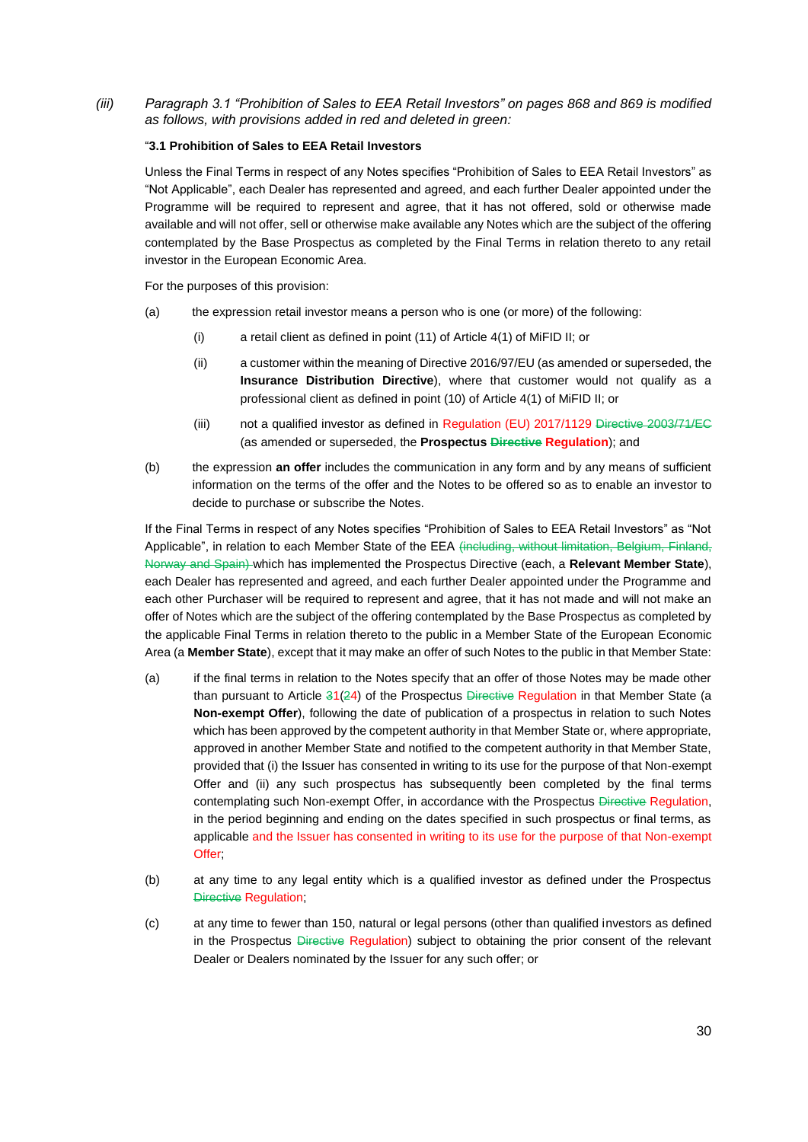*(iii) Paragraph 3.1 "Prohibition of Sales to EEA Retail Investors" on pages 868 and 869 is modified as follows, with provisions added in red and deleted in green:*

#### "**3.1 Prohibition of Sales to EEA Retail Investors**

Unless the Final Terms in respect of any Notes specifies "Prohibition of Sales to EEA Retail Investors" as "Not Applicable", each Dealer has represented and agreed, and each further Dealer appointed under the Programme will be required to represent and agree, that it has not offered, sold or otherwise made available and will not offer, sell or otherwise make available any Notes which are the subject of the offering contemplated by the Base Prospectus as completed by the Final Terms in relation thereto to any retail investor in the European Economic Area.

For the purposes of this provision:

- (a) the expression retail investor means a person who is one (or more) of the following:
	- (i) a retail client as defined in point (11) of Article 4(1) of MiFID II; or
	- (ii) a customer within the meaning of Directive 2016/97/EU (as amended or superseded, the **Insurance Distribution Directive**), where that customer would not qualify as a professional client as defined in point (10) of Article 4(1) of MiFID II; or
	- (iii) not a qualified investor as defined in Regulation (EU) 2017/1129 Directive 2003/71/EC (as amended or superseded, the **Prospectus Directive Regulation**); and
- (b) the expression **an offer** includes the communication in any form and by any means of sufficient information on the terms of the offer and the Notes to be offered so as to enable an investor to decide to purchase or subscribe the Notes.

If the Final Terms in respect of any Notes specifies "Prohibition of Sales to EEA Retail Investors" as "Not Applicable", in relation to each Member State of the EEA (including, without limitation, Belgium, Finland, Norway and Spain) which has implemented the Prospectus Directive (each, a **Relevant Member State**), each Dealer has represented and agreed, and each further Dealer appointed under the Programme and each other Purchaser will be required to represent and agree, that it has not made and will not make an offer of Notes which are the subject of the offering contemplated by the Base Prospectus as completed by the applicable Final Terms in relation thereto to the public in a Member State of the European Economic Area (a **Member State**), except that it may make an offer of such Notes to the public in that Member State:

- (a) if the final terms in relation to the Notes specify that an offer of those Notes may be made other than pursuant to Article  $31(24)$  of the Prospectus Directive Regulation in that Member State (a **Non-exempt Offer**), following the date of publication of a prospectus in relation to such Notes which has been approved by the competent authority in that Member State or, where appropriate, approved in another Member State and notified to the competent authority in that Member State, provided that (i) the Issuer has consented in writing to its use for the purpose of that Non-exempt Offer and (ii) any such prospectus has subsequently been completed by the final terms contemplating such Non-exempt Offer, in accordance with the Prospectus Directive Regulation, in the period beginning and ending on the dates specified in such prospectus or final terms, as applicable and the Issuer has consented in writing to its use for the purpose of that Non-exempt Offer:
- (b) at any time to any legal entity which is a qualified investor as defined under the Prospectus Directive Regulation;
- (c) at any time to fewer than 150, natural or legal persons (other than qualified investors as defined in the Prospectus Directive Regulation) subject to obtaining the prior consent of the relevant Dealer or Dealers nominated by the Issuer for any such offer; or